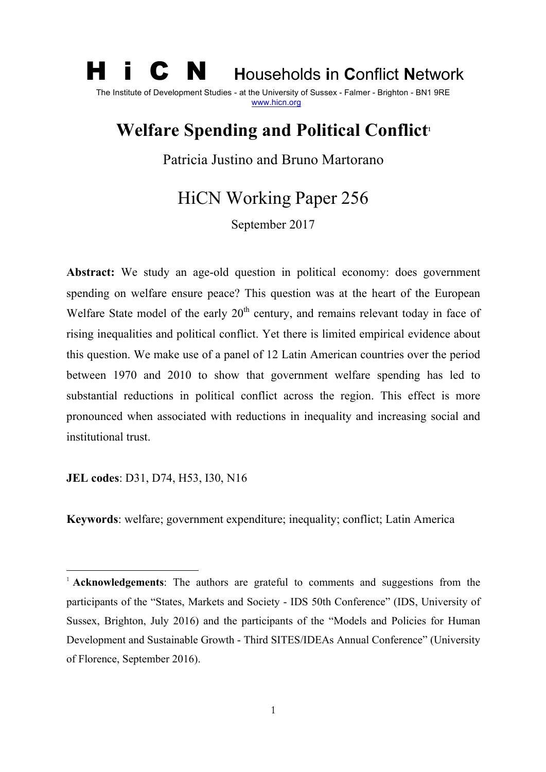# **Households in Conflict Network** The Institute of Development Studies - at the University of Sussex - Falmer - Brighton - BN1 9RE www.hicn.org

# **Welfare Spending and Political Conflict<sup>1</sup>**

Patricia Justino and Bruno Martorano

# HiCN Working Paper 256

September 2017

**Abstract:** We study an age-old question in political economy: does government spending on welfare ensure peace? This question was at the heart of the European Welfare State model of the early  $20<sup>th</sup>$  century, and remains relevant today in face of rising inequalities and political conflict. Yet there is limited empirical evidence about this question. We make use of a panel of 12 Latin American countries over the period between 1970 and 2010 to show that government welfare spending has led to substantial reductions in political conflict across the region. This effect is more pronounced when associated with reductions in inequality and increasing social and institutional trust.

**JEL codes**: D31, D74, H53, I30, N16

 $\overline{a}$ 

**Keywords**: welfare; government expenditure; inequality; conflict; Latin America

<sup>&</sup>lt;sup>1</sup> **Acknowledgements**: The authors are grateful to comments and suggestions from the participants of the "States, Markets and Society - IDS 50th Conference" (IDS, University of Sussex, Brighton, July 2016) and the participants of the "Models and Policies for Human Development and Sustainable Growth - Third SITES/IDEAs Annual Conference" (University of Florence, September 2016).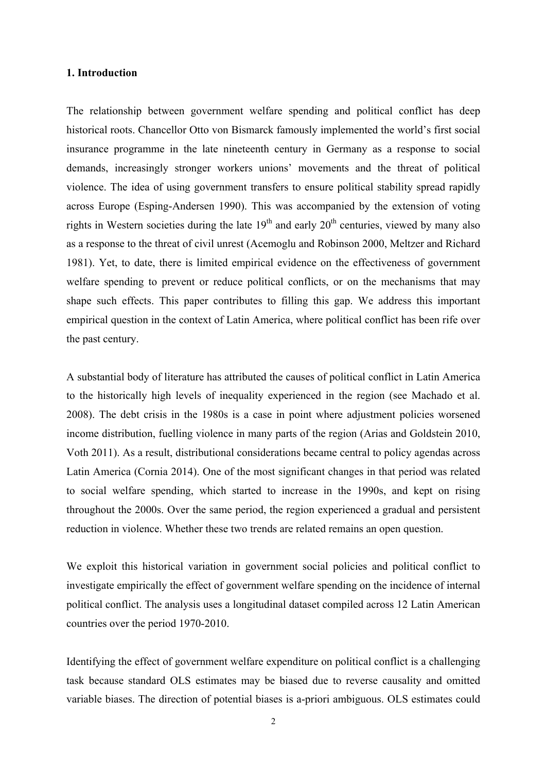#### **1. Introduction**

The relationship between government welfare spending and political conflict has deep historical roots. Chancellor Otto von Bismarck famously implemented the world's first social insurance programme in the late nineteenth century in Germany as a response to social demands, increasingly stronger workers unions' movements and the threat of political violence. The idea of using government transfers to ensure political stability spread rapidly across Europe (Esping-Andersen 1990). This was accompanied by the extension of voting rights in Western societies during the late  $19<sup>th</sup>$  and early  $20<sup>th</sup>$  centuries, viewed by many also as a response to the threat of civil unrest (Acemoglu and Robinson 2000, Meltzer and Richard 1981). Yet, to date, there is limited empirical evidence on the effectiveness of government welfare spending to prevent or reduce political conflicts, or on the mechanisms that may shape such effects. This paper contributes to filling this gap. We address this important empirical question in the context of Latin America, where political conflict has been rife over the past century.

A substantial body of literature has attributed the causes of political conflict in Latin America to the historically high levels of inequality experienced in the region (see Machado et al. 2008). The debt crisis in the 1980s is a case in point where adjustment policies worsened income distribution, fuelling violence in many parts of the region (Arias and Goldstein 2010, Voth 2011). As a result, distributional considerations became central to policy agendas across Latin America (Cornia 2014). One of the most significant changes in that period was related to social welfare spending, which started to increase in the 1990s, and kept on rising throughout the 2000s. Over the same period, the region experienced a gradual and persistent reduction in violence. Whether these two trends are related remains an open question.

We exploit this historical variation in government social policies and political conflict to investigate empirically the effect of government welfare spending on the incidence of internal political conflict. The analysis uses a longitudinal dataset compiled across 12 Latin American countries over the period 1970-2010.

Identifying the effect of government welfare expenditure on political conflict is a challenging task because standard OLS estimates may be biased due to reverse causality and omitted variable biases. The direction of potential biases is a-priori ambiguous. OLS estimates could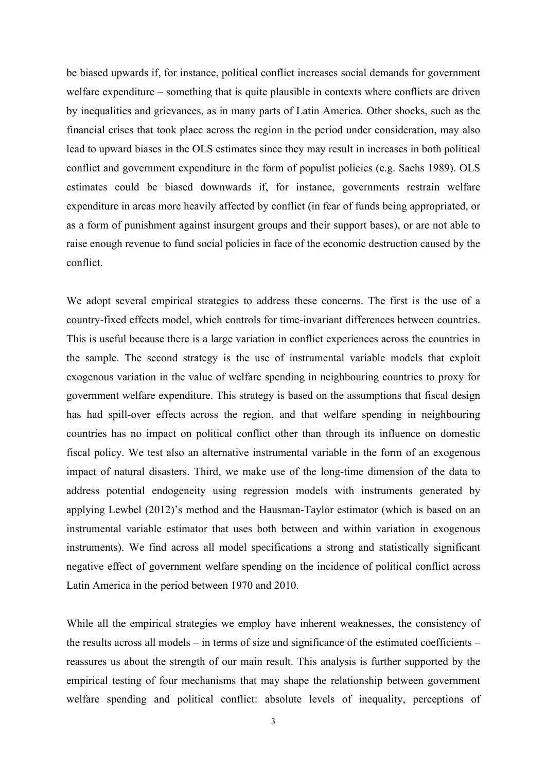be biased upwards if, for instance, political conflict increases social demands for government welfare expenditure – something that is quite plausible in contexts where conflicts are driven by inequalities and grievances, as in many parts of Latin America. Other shocks, such as the financial crises that took place across the region in the period under consideration, may also lead to upward biases in the OLS estimates since they may result in increases in both political conflict and government expenditure in the form of populist policies (e.g. Sachs 1989). OLS estimates could be biased downwards if, for instance, governments restrain welfare expenditure in areas more heavily affected by conflict (in fear of funds being appropriated, or as a form of punishment against insurgent groups and their support bases), or are not able to raise enough revenue to fund social policies in face of the economic destruction caused by the conflict.

We adopt several empirical strategies to address these concerns. The first is the use of a country-fixed effects model, which controls for time-invariant differences between countries. This is useful because there is a large variation in conflict experiences across the countries in the sample. The second strategy is the use of instrumental variable models that exploit exogenous variation in the value of welfare spending in neighbouring countries to proxy for government welfare expenditure. This strategy is based on the assumptions that fiscal design has had spill-over effects across the region, and that welfare spending in neighbouring countries has no impact on political conflict other than through its influence on domestic fiscal policy. We test also an alternative instrumental variable in the form of an exogenous impact of natural disasters. Third, we make use of the long-time dimension of the data to address potential endogeneity using regression models with instruments generated by applying Lewbel (2012)'s method and the Hausman-Taylor estimator (which is based on an instrumental variable estimator that uses both between and within variation in exogenous instruments). We find across all model specifications a strong and statistically significant negative effect of government welfare spending on the incidence of political conflict across Latin America in the period between 1970 and 2010.

While all the empirical strategies we employ have inherent weaknesses, the consistency of the results across all models – in terms of size and significance of the estimated coefficients – reassures us about the strength of our main result. This analysis is further supported by the empirical testing of four mechanisms that may shape the relationship between government welfare spending and political conflict: absolute levels of inequality, perceptions of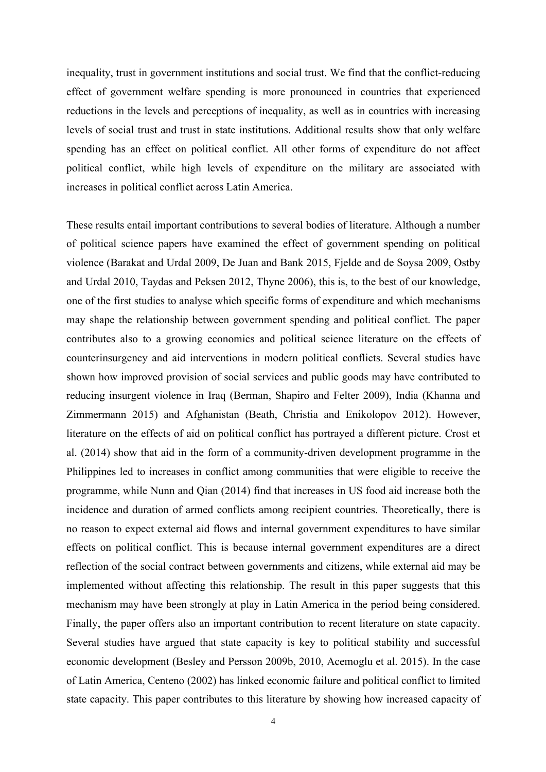inequality, trust in government institutions and social trust. We find that the conflict-reducing effect of government welfare spending is more pronounced in countries that experienced reductions in the levels and perceptions of inequality, as well as in countries with increasing levels of social trust and trust in state institutions. Additional results show that only welfare spending has an effect on political conflict. All other forms of expenditure do not affect political conflict, while high levels of expenditure on the military are associated with increases in political conflict across Latin America.

These results entail important contributions to several bodies of literature. Although a number of political science papers have examined the effect of government spending on political violence (Barakat and Urdal 2009, De Juan and Bank 2015, Fjelde and de Soysa 2009, Ostby and Urdal 2010, Taydas and Peksen 2012, Thyne 2006), this is, to the best of our knowledge, one of the first studies to analyse which specific forms of expenditure and which mechanisms may shape the relationship between government spending and political conflict. The paper contributes also to a growing economics and political science literature on the effects of counterinsurgency and aid interventions in modern political conflicts. Several studies have shown how improved provision of social services and public goods may have contributed to reducing insurgent violence in Iraq (Berman, Shapiro and Felter 2009), India (Khanna and Zimmermann 2015) and Afghanistan (Beath, Christia and Enikolopov 2012). However, literature on the effects of aid on political conflict has portrayed a different picture. Crost et al. (2014) show that aid in the form of a community-driven development programme in the Philippines led to increases in conflict among communities that were eligible to receive the programme, while Nunn and Qian (2014) find that increases in US food aid increase both the incidence and duration of armed conflicts among recipient countries. Theoretically, there is no reason to expect external aid flows and internal government expenditures to have similar effects on political conflict. This is because internal government expenditures are a direct reflection of the social contract between governments and citizens, while external aid may be implemented without affecting this relationship. The result in this paper suggests that this mechanism may have been strongly at play in Latin America in the period being considered. Finally, the paper offers also an important contribution to recent literature on state capacity. Several studies have argued that state capacity is key to political stability and successful economic development (Besley and Persson 2009b, 2010, Acemoglu et al. 2015). In the case of Latin America, Centeno (2002) has linked economic failure and political conflict to limited state capacity. This paper contributes to this literature by showing how increased capacity of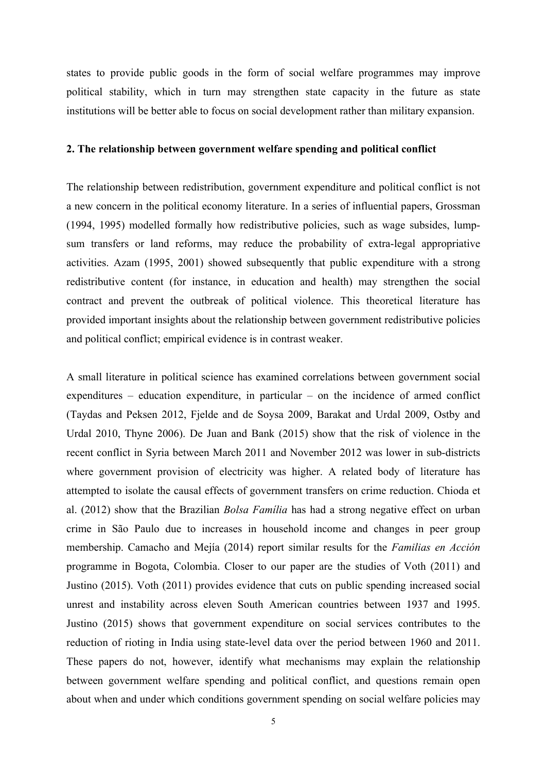states to provide public goods in the form of social welfare programmes may improve political stability, which in turn may strengthen state capacity in the future as state institutions will be better able to focus on social development rather than military expansion.

#### **2. The relationship between government welfare spending and political conflict**

The relationship between redistribution, government expenditure and political conflict is not a new concern in the political economy literature. In a series of influential papers, Grossman (1994, 1995) modelled formally how redistributive policies, such as wage subsides, lumpsum transfers or land reforms, may reduce the probability of extra-legal appropriative activities. Azam (1995, 2001) showed subsequently that public expenditure with a strong redistributive content (for instance, in education and health) may strengthen the social contract and prevent the outbreak of political violence. This theoretical literature has provided important insights about the relationship between government redistributive policies and political conflict; empirical evidence is in contrast weaker.

A small literature in political science has examined correlations between government social expenditures – education expenditure, in particular – on the incidence of armed conflict (Taydas and Peksen 2012, Fjelde and de Soysa 2009, Barakat and Urdal 2009, Ostby and Urdal 2010, Thyne 2006). De Juan and Bank (2015) show that the risk of violence in the recent conflict in Syria between March 2011 and November 2012 was lower in sub-districts where government provision of electricity was higher. A related body of literature has attempted to isolate the causal effects of government transfers on crime reduction. Chioda et al. (2012) show that the Brazilian *Bolsa Família* has had a strong negative effect on urban crime in São Paulo due to increases in household income and changes in peer group membership. Camacho and Mejía (2014) report similar results for the *Familias en Acción* programme in Bogota, Colombia. Closer to our paper are the studies of Voth (2011) and Justino (2015). Voth (2011) provides evidence that cuts on public spending increased social unrest and instability across eleven South American countries between 1937 and 1995. Justino (2015) shows that government expenditure on social services contributes to the reduction of rioting in India using state-level data over the period between 1960 and 2011. These papers do not, however, identify what mechanisms may explain the relationship between government welfare spending and political conflict, and questions remain open about when and under which conditions government spending on social welfare policies may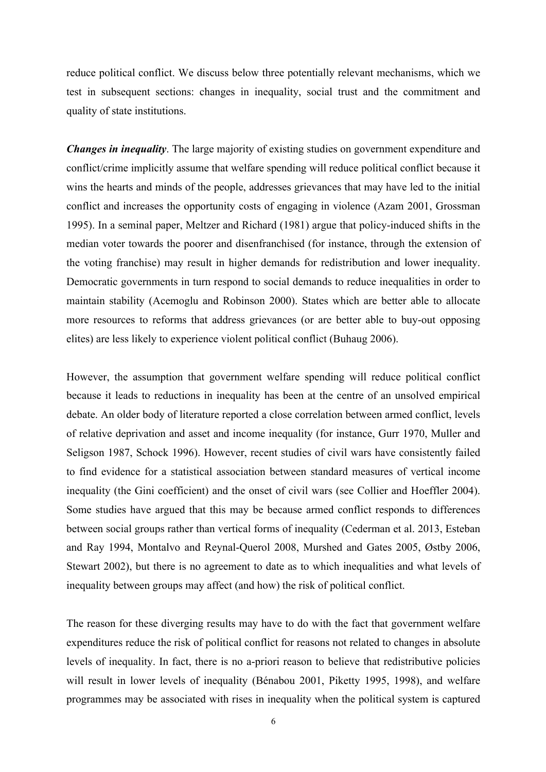reduce political conflict. We discuss below three potentially relevant mechanisms, which we test in subsequent sections: changes in inequality, social trust and the commitment and quality of state institutions.

*Changes in inequality*. The large majority of existing studies on government expenditure and conflict/crime implicitly assume that welfare spending will reduce political conflict because it wins the hearts and minds of the people, addresses grievances that may have led to the initial conflict and increases the opportunity costs of engaging in violence (Azam 2001, Grossman 1995). In a seminal paper, Meltzer and Richard (1981) argue that policy-induced shifts in the median voter towards the poorer and disenfranchised (for instance, through the extension of the voting franchise) may result in higher demands for redistribution and lower inequality. Democratic governments in turn respond to social demands to reduce inequalities in order to maintain stability (Acemoglu and Robinson 2000). States which are better able to allocate more resources to reforms that address grievances (or are better able to buy-out opposing elites) are less likely to experience violent political conflict (Buhaug 2006).

However, the assumption that government welfare spending will reduce political conflict because it leads to reductions in inequality has been at the centre of an unsolved empirical debate. An older body of literature reported a close correlation between armed conflict, levels of relative deprivation and asset and income inequality (for instance, Gurr 1970, Muller and Seligson 1987, Schock 1996). However, recent studies of civil wars have consistently failed to find evidence for a statistical association between standard measures of vertical income inequality (the Gini coefficient) and the onset of civil wars (see Collier and Hoeffler 2004). Some studies have argued that this may be because armed conflict responds to differences between social groups rather than vertical forms of inequality (Cederman et al. 2013, Esteban and Ray 1994, Montalvo and Reynal-Querol 2008, Murshed and Gates 2005, Østby 2006, Stewart 2002), but there is no agreement to date as to which inequalities and what levels of inequality between groups may affect (and how) the risk of political conflict.

The reason for these diverging results may have to do with the fact that government welfare expenditures reduce the risk of political conflict for reasons not related to changes in absolute levels of inequality. In fact, there is no a-priori reason to believe that redistributive policies will result in lower levels of inequality (Bénabou 2001, Piketty 1995, 1998), and welfare programmes may be associated with rises in inequality when the political system is captured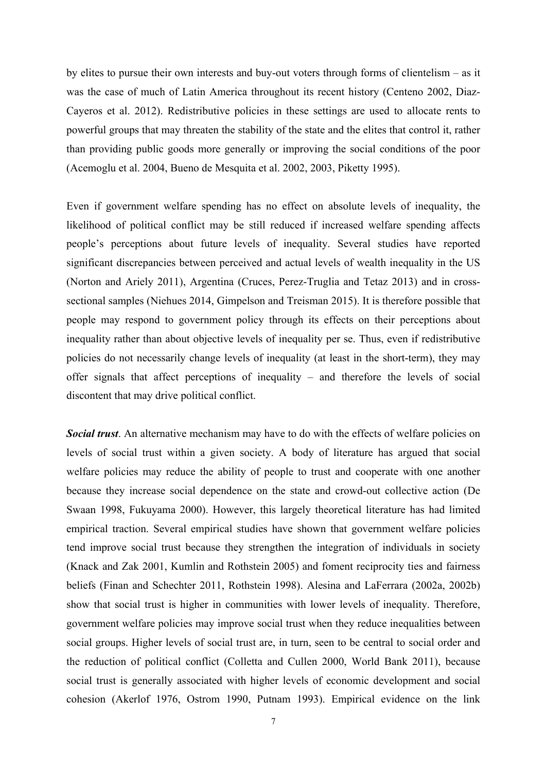by elites to pursue their own interests and buy-out voters through forms of clientelism – as it was the case of much of Latin America throughout its recent history (Centeno 2002, Diaz-Cayeros et al. 2012). Redistributive policies in these settings are used to allocate rents to powerful groups that may threaten the stability of the state and the elites that control it, rather than providing public goods more generally or improving the social conditions of the poor (Acemoglu et al. 2004, Bueno de Mesquita et al. 2002, 2003, Piketty 1995).

Even if government welfare spending has no effect on absolute levels of inequality, the likelihood of political conflict may be still reduced if increased welfare spending affects people's perceptions about future levels of inequality. Several studies have reported significant discrepancies between perceived and actual levels of wealth inequality in the US (Norton and Ariely 2011), Argentina (Cruces, Perez-Truglia and Tetaz 2013) and in crosssectional samples (Niehues 2014, Gimpelson and Treisman 2015). It is therefore possible that people may respond to government policy through its effects on their perceptions about inequality rather than about objective levels of inequality per se. Thus, even if redistributive policies do not necessarily change levels of inequality (at least in the short-term), they may offer signals that affect perceptions of inequality – and therefore the levels of social discontent that may drive political conflict.

**Social trust**. An alternative mechanism may have to do with the effects of welfare policies on levels of social trust within a given society. A body of literature has argued that social welfare policies may reduce the ability of people to trust and cooperate with one another because they increase social dependence on the state and crowd-out collective action (De Swaan 1998, Fukuyama 2000). However, this largely theoretical literature has had limited empirical traction. Several empirical studies have shown that government welfare policies tend improve social trust because they strengthen the integration of individuals in society (Knack and Zak 2001, Kumlin and Rothstein 2005) and foment reciprocity ties and fairness beliefs (Finan and Schechter 2011, Rothstein 1998). Alesina and LaFerrara (2002a, 2002b) show that social trust is higher in communities with lower levels of inequality. Therefore, government welfare policies may improve social trust when they reduce inequalities between social groups. Higher levels of social trust are, in turn, seen to be central to social order and the reduction of political conflict (Colletta and Cullen 2000, World Bank 2011), because social trust is generally associated with higher levels of economic development and social cohesion (Akerlof 1976, Ostrom 1990, Putnam 1993). Empirical evidence on the link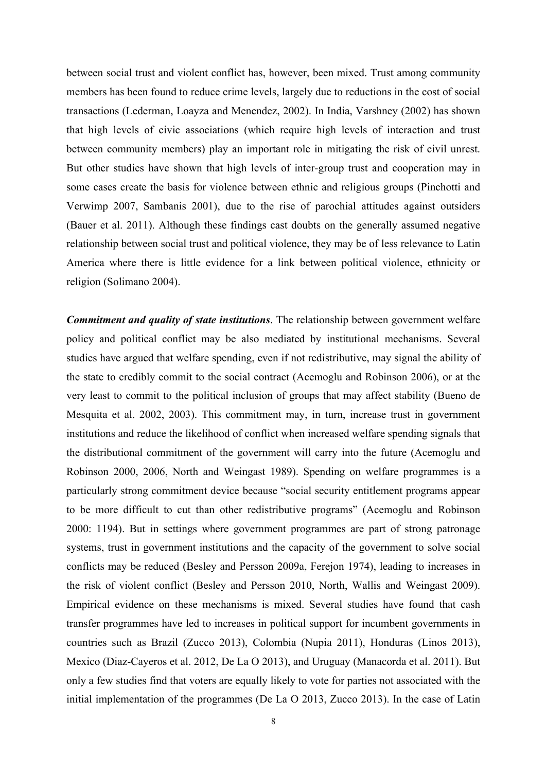between social trust and violent conflict has, however, been mixed. Trust among community members has been found to reduce crime levels, largely due to reductions in the cost of social transactions (Lederman, Loayza and Menendez, 2002). In India, Varshney (2002) has shown that high levels of civic associations (which require high levels of interaction and trust between community members) play an important role in mitigating the risk of civil unrest. But other studies have shown that high levels of inter-group trust and cooperation may in some cases create the basis for violence between ethnic and religious groups (Pinchotti and Verwimp 2007, Sambanis 2001), due to the rise of parochial attitudes against outsiders (Bauer et al. 2011). Although these findings cast doubts on the generally assumed negative relationship between social trust and political violence, they may be of less relevance to Latin America where there is little evidence for a link between political violence, ethnicity or religion (Solimano 2004).

*Commitment and quality of state institutions*. The relationship between government welfare policy and political conflict may be also mediated by institutional mechanisms. Several studies have argued that welfare spending, even if not redistributive, may signal the ability of the state to credibly commit to the social contract (Acemoglu and Robinson 2006), or at the very least to commit to the political inclusion of groups that may affect stability (Bueno de Mesquita et al. 2002, 2003). This commitment may, in turn, increase trust in government institutions and reduce the likelihood of conflict when increased welfare spending signals that the distributional commitment of the government will carry into the future (Acemoglu and Robinson 2000, 2006, North and Weingast 1989). Spending on welfare programmes is a particularly strong commitment device because "social security entitlement programs appear to be more difficult to cut than other redistributive programs" (Acemoglu and Robinson 2000: 1194). But in settings where government programmes are part of strong patronage systems, trust in government institutions and the capacity of the government to solve social conflicts may be reduced (Besley and Persson 2009a, Ferejon 1974), leading to increases in the risk of violent conflict (Besley and Persson 2010, North, Wallis and Weingast 2009). Empirical evidence on these mechanisms is mixed. Several studies have found that cash transfer programmes have led to increases in political support for incumbent governments in countries such as Brazil (Zucco 2013), Colombia (Nupia 2011), Honduras (Linos 2013), Mexico (Diaz-Cayeros et al. 2012, De La O 2013), and Uruguay (Manacorda et al. 2011). But only a few studies find that voters are equally likely to vote for parties not associated with the initial implementation of the programmes (De La O 2013, Zucco 2013). In the case of Latin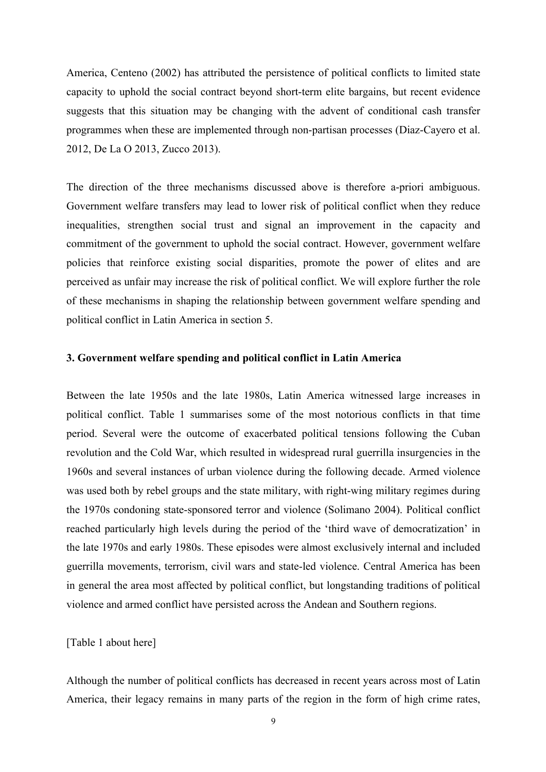America, Centeno (2002) has attributed the persistence of political conflicts to limited state capacity to uphold the social contract beyond short-term elite bargains, but recent evidence suggests that this situation may be changing with the advent of conditional cash transfer programmes when these are implemented through non-partisan processes (Diaz-Cayero et al. 2012, De La O 2013, Zucco 2013).

The direction of the three mechanisms discussed above is therefore a-priori ambiguous. Government welfare transfers may lead to lower risk of political conflict when they reduce inequalities, strengthen social trust and signal an improvement in the capacity and commitment of the government to uphold the social contract. However, government welfare policies that reinforce existing social disparities, promote the power of elites and are perceived as unfair may increase the risk of political conflict. We will explore further the role of these mechanisms in shaping the relationship between government welfare spending and political conflict in Latin America in section 5.

### **3. Government welfare spending and political conflict in Latin America**

Between the late 1950s and the late 1980s, Latin America witnessed large increases in political conflict. Table 1 summarises some of the most notorious conflicts in that time period. Several were the outcome of exacerbated political tensions following the Cuban revolution and the Cold War, which resulted in widespread rural guerrilla insurgencies in the 1960s and several instances of urban violence during the following decade. Armed violence was used both by rebel groups and the state military, with right-wing military regimes during the 1970s condoning state-sponsored terror and violence (Solimano 2004). Political conflict reached particularly high levels during the period of the 'third wave of democratization' in the late 1970s and early 1980s. These episodes were almost exclusively internal and included guerrilla movements, terrorism, civil wars and state-led violence. Central America has been in general the area most affected by political conflict, but longstanding traditions of political violence and armed conflict have persisted across the Andean and Southern regions.

[Table 1 about here]

Although the number of political conflicts has decreased in recent years across most of Latin America, their legacy remains in many parts of the region in the form of high crime rates,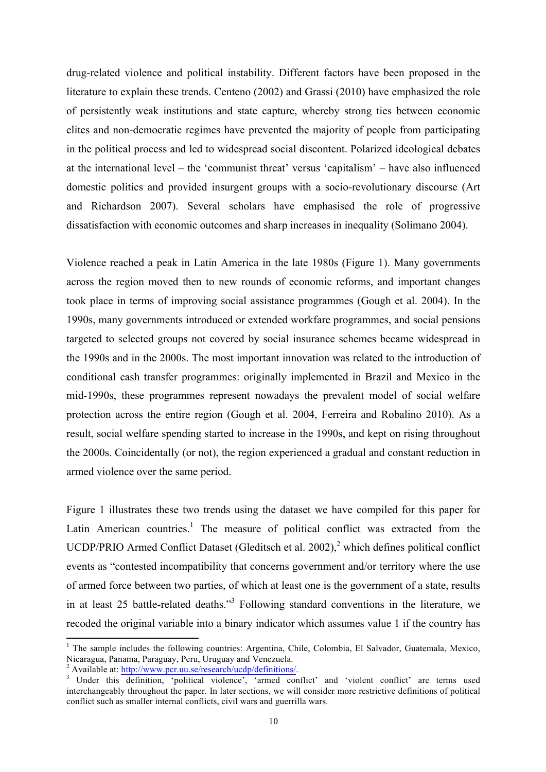drug-related violence and political instability. Different factors have been proposed in the literature to explain these trends. Centeno (2002) and Grassi (2010) have emphasized the role of persistently weak institutions and state capture, whereby strong ties between economic elites and non-democratic regimes have prevented the majority of people from participating in the political process and led to widespread social discontent. Polarized ideological debates at the international level – the 'communist threat' versus 'capitalism' – have also influenced domestic politics and provided insurgent groups with a socio-revolutionary discourse (Art and Richardson 2007). Several scholars have emphasised the role of progressive dissatisfaction with economic outcomes and sharp increases in inequality (Solimano 2004).

Violence reached a peak in Latin America in the late 1980s (Figure 1). Many governments across the region moved then to new rounds of economic reforms, and important changes took place in terms of improving social assistance programmes (Gough et al. 2004). In the 1990s, many governments introduced or extended workfare programmes, and social pensions targeted to selected groups not covered by social insurance schemes became widespread in the 1990s and in the 2000s. The most important innovation was related to the introduction of conditional cash transfer programmes: originally implemented in Brazil and Mexico in the mid-1990s, these programmes represent nowadays the prevalent model of social welfare protection across the entire region (Gough et al. 2004, Ferreira and Robalino 2010). As a result, social welfare spending started to increase in the 1990s, and kept on rising throughout the 2000s. Coincidentally (or not), the region experienced a gradual and constant reduction in armed violence over the same period.

Figure 1 illustrates these two trends using the dataset we have compiled for this paper for Latin American countries.<sup>1</sup> The measure of political conflict was extracted from the UCDP/PRIO Armed Conflict Dataset (Gleditsch et al.  $2002$ ), $^2$  which defines political conflict events as "contested incompatibility that concerns government and/or territory where the use of armed force between two parties, of which at least one is the government of a state, results in at least 25 battle-related deaths."<sup>3</sup> Following standard conventions in the literature, we recoded the original variable into a binary indicator which assumes value 1 if the country has

 

<sup>&</sup>lt;sup>1</sup> The sample includes the following countries: Argentina, Chile, Colombia, El Salvador, Guatemala, Mexico, Nicaragua, Panama, Paraguay, Peru, Uruguay and Venezuela.

<sup>2</sup> Available at: http://www.pcr.uu.se/research/ucdp/definitions/.

<sup>&</sup>lt;sup>3</sup> Under this definition, 'political violence', 'armed conflict' and 'violent conflict' are terms used interchangeably throughout the paper. In later sections, we will consider more restrictive definitions of political conflict such as smaller internal conflicts, civil wars and guerrilla wars.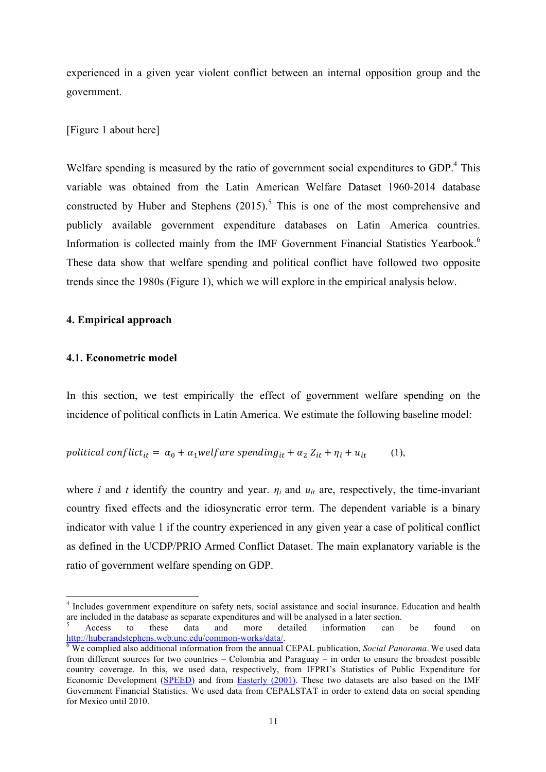experienced in a given year violent conflict between an internal opposition group and the government.

## [Figure 1 about here]

Welfare spending is measured by the ratio of government social expenditures to GDP.<sup>4</sup> This variable was obtained from the Latin American Welfare Dataset 1960-2014 database constructed by Huber and Stephens  $(2015)$ .<sup>5</sup> This is one of the most comprehensive and publicly available government expenditure databases on Latin America countries. Information is collected mainly from the IMF Government Financial Statistics Yearbook.<sup>6</sup> These data show that welfare spending and political conflict have followed two opposite trends since the 1980s (Figure 1), which we will explore in the empirical analysis below.

#### **4. Empirical approach**

### **4.1. Econometric model**

<u> 1989 - Johann Stein, fransk politiker (d. 1989)</u>

In this section, we test empirically the effect of government welfare spending on the incidence of political conflicts in Latin America. We estimate the following baseline model:

*politational conflict<sub>it</sub>* = 
$$
\alpha_0 + \alpha_1
$$
*wellfare spending<sub>it</sub>* +  $\alpha_2$   $Z_{it} + \eta_i + u_{it}$  (1),

where *i* and *t* identify the country and year.  $\eta_i$  and  $u_i$  are, respectively, the time-invariant country fixed effects and the idiosyncratic error term. The dependent variable is a binary indicator with value 1 if the country experienced in any given year a case of political conflict as defined in the UCDP/PRIO Armed Conflict Dataset. The main explanatory variable is the ratio of government welfare spending on GDP.

<sup>&</sup>lt;sup>4</sup> Includes government expenditure on safety nets, social assistance and social insurance. Education and health are included in the database as separate expenditures and will be analysed in a later section.<br>
S Access to these data and more detailed information can

<sup>5</sup> Access to these data and more detailed information can be found on http://huberandstephens.web.unc.edu/common-works/data/.

<sup>&</sup>lt;sup>6</sup> We complied also additional information from the annual CEPAL publication, *Social Panorama*. We used data from different sources for two countries – Colombia and Paraguay – in order to ensure the broadest possible country coverage. In this, we used data, respectively, from IFPRI's Statistics of Public Expenditure for Economic Development (SPEED) and from Easterly (2001). These two datasets are also based on the IMF Government Financial Statistics. We used data from CEPALSTAT in order to extend data on social spending for Mexico until 2010.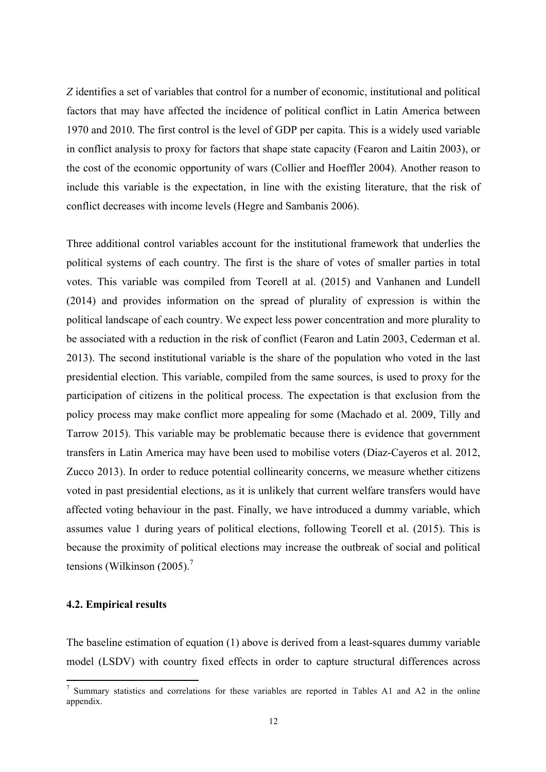*Z* identifies a set of variables that control for a number of economic, institutional and political factors that may have affected the incidence of political conflict in Latin America between 1970 and 2010. The first control is the level of GDP per capita. This is a widely used variable in conflict analysis to proxy for factors that shape state capacity (Fearon and Laitin 2003), or the cost of the economic opportunity of wars (Collier and Hoeffler 2004). Another reason to include this variable is the expectation, in line with the existing literature, that the risk of conflict decreases with income levels (Hegre and Sambanis 2006).

Three additional control variables account for the institutional framework that underlies the political systems of each country. The first is the share of votes of smaller parties in total votes. This variable was compiled from Teorell at al. (2015) and Vanhanen and Lundell (2014) and provides information on the spread of plurality of expression is within the political landscape of each country. We expect less power concentration and more plurality to be associated with a reduction in the risk of conflict (Fearon and Latin 2003, Cederman et al. 2013). The second institutional variable is the share of the population who voted in the last presidential election. This variable, compiled from the same sources, is used to proxy for the participation of citizens in the political process. The expectation is that exclusion from the policy process may make conflict more appealing for some (Machado et al. 2009, Tilly and Tarrow 2015). This variable may be problematic because there is evidence that government transfers in Latin America may have been used to mobilise voters (Diaz-Cayeros et al. 2012, Zucco 2013). In order to reduce potential collinearity concerns, we measure whether citizens voted in past presidential elections, as it is unlikely that current welfare transfers would have affected voting behaviour in the past. Finally, we have introduced a dummy variable, which assumes value 1 during years of political elections, following Teorell et al. (2015). This is because the proximity of political elections may increase the outbreak of social and political tensions (Wilkinson  $(2005)$ .<sup>7</sup>

#### **4.2. Empirical results**

 

The baseline estimation of equation (1) above is derived from a least-squares dummy variable model (LSDV) with country fixed effects in order to capture structural differences across

 $7$  Summary statistics and correlations for these variables are reported in Tables A1 and A2 in the online appendix.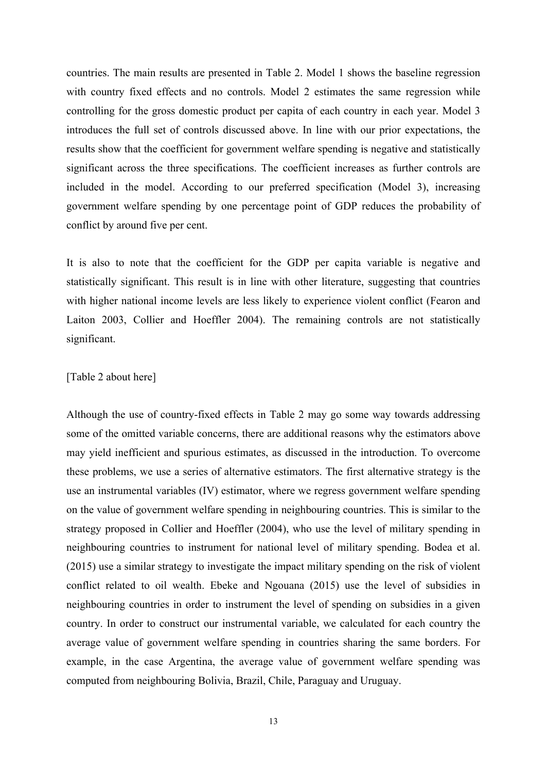countries. The main results are presented in Table 2. Model 1 shows the baseline regression with country fixed effects and no controls. Model 2 estimates the same regression while controlling for the gross domestic product per capita of each country in each year. Model 3 introduces the full set of controls discussed above. In line with our prior expectations, the results show that the coefficient for government welfare spending is negative and statistically significant across the three specifications. The coefficient increases as further controls are included in the model. According to our preferred specification (Model 3), increasing government welfare spending by one percentage point of GDP reduces the probability of conflict by around five per cent.

It is also to note that the coefficient for the GDP per capita variable is negative and statistically significant. This result is in line with other literature, suggesting that countries with higher national income levels are less likely to experience violent conflict (Fearon and Laiton 2003, Collier and Hoeffler 2004). The remaining controls are not statistically significant.

### [Table 2 about here]

Although the use of country-fixed effects in Table 2 may go some way towards addressing some of the omitted variable concerns, there are additional reasons why the estimators above may yield inefficient and spurious estimates, as discussed in the introduction. To overcome these problems, we use a series of alternative estimators. The first alternative strategy is the use an instrumental variables (IV) estimator, where we regress government welfare spending on the value of government welfare spending in neighbouring countries. This is similar to the strategy proposed in Collier and Hoeffler (2004), who use the level of military spending in neighbouring countries to instrument for national level of military spending. Bodea et al. (2015) use a similar strategy to investigate the impact military spending on the risk of violent conflict related to oil wealth. Ebeke and Ngouana (2015) use the level of subsidies in neighbouring countries in order to instrument the level of spending on subsidies in a given country. In order to construct our instrumental variable, we calculated for each country the average value of government welfare spending in countries sharing the same borders. For example, in the case Argentina, the average value of government welfare spending was computed from neighbouring Bolivia, Brazil, Chile, Paraguay and Uruguay.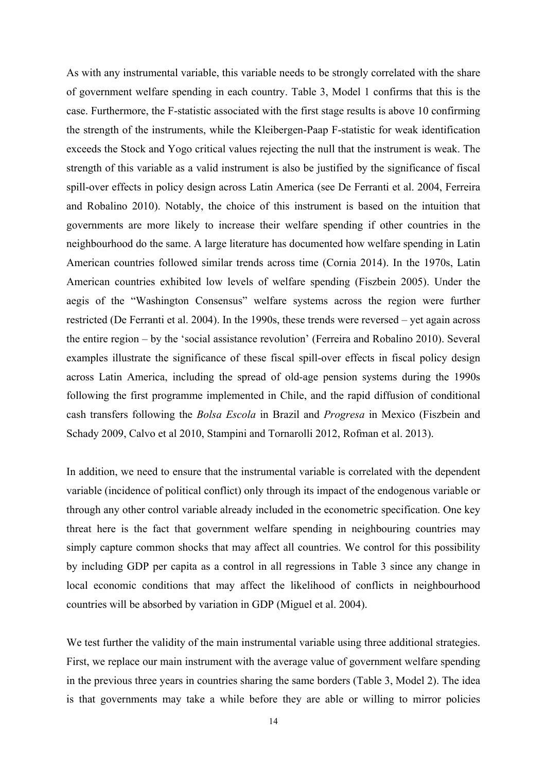As with any instrumental variable, this variable needs to be strongly correlated with the share of government welfare spending in each country. Table 3, Model 1 confirms that this is the case. Furthermore, the F-statistic associated with the first stage results is above 10 confirming the strength of the instruments, while the Kleibergen-Paap F-statistic for weak identification exceeds the Stock and Yogo critical values rejecting the null that the instrument is weak. The strength of this variable as a valid instrument is also be justified by the significance of fiscal spill-over effects in policy design across Latin America (see De Ferranti et al. 2004, Ferreira and Robalino 2010). Notably, the choice of this instrument is based on the intuition that governments are more likely to increase their welfare spending if other countries in the neighbourhood do the same. A large literature has documented how welfare spending in Latin American countries followed similar trends across time (Cornia 2014). In the 1970s, Latin American countries exhibited low levels of welfare spending (Fiszbein 2005). Under the aegis of the "Washington Consensus" welfare systems across the region were further restricted (De Ferranti et al. 2004). In the 1990s, these trends were reversed – yet again across the entire region – by the 'social assistance revolution' (Ferreira and Robalino 2010). Several examples illustrate the significance of these fiscal spill-over effects in fiscal policy design across Latin America, including the spread of old-age pension systems during the 1990s following the first programme implemented in Chile, and the rapid diffusion of conditional cash transfers following the *Bolsa Escola* in Brazil and *Progresa* in Mexico (Fiszbein and Schady 2009, Calvo et al 2010, Stampini and Tornarolli 2012, Rofman et al. 2013).

In addition, we need to ensure that the instrumental variable is correlated with the dependent variable (incidence of political conflict) only through its impact of the endogenous variable or through any other control variable already included in the econometric specification. One key threat here is the fact that government welfare spending in neighbouring countries may simply capture common shocks that may affect all countries. We control for this possibility by including GDP per capita as a control in all regressions in Table 3 since any change in local economic conditions that may affect the likelihood of conflicts in neighbourhood countries will be absorbed by variation in GDP (Miguel et al. 2004).

We test further the validity of the main instrumental variable using three additional strategies. First, we replace our main instrument with the average value of government welfare spending in the previous three years in countries sharing the same borders (Table 3, Model 2). The idea is that governments may take a while before they are able or willing to mirror policies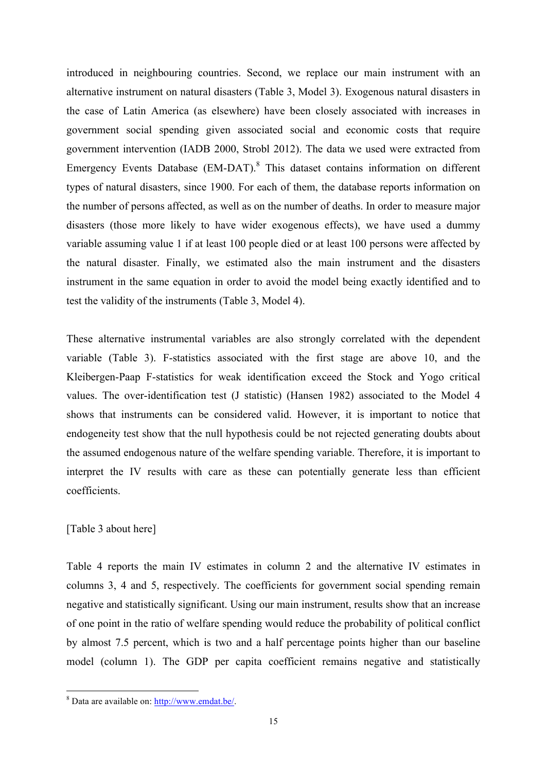introduced in neighbouring countries. Second, we replace our main instrument with an alternative instrument on natural disasters (Table 3, Model 3). Exogenous natural disasters in the case of Latin America (as elsewhere) have been closely associated with increases in government social spending given associated social and economic costs that require government intervention (IADB 2000, Strobl 2012). The data we used were extracted from Emergency Events Database (EM-DAT).<sup>8</sup> This dataset contains information on different types of natural disasters, since 1900. For each of them, the database reports information on the number of persons affected, as well as on the number of deaths. In order to measure major disasters (those more likely to have wider exogenous effects), we have used a dummy variable assuming value 1 if at least 100 people died or at least 100 persons were affected by the natural disaster. Finally, we estimated also the main instrument and the disasters instrument in the same equation in order to avoid the model being exactly identified and to test the validity of the instruments (Table 3, Model 4).

These alternative instrumental variables are also strongly correlated with the dependent variable (Table 3). F-statistics associated with the first stage are above 10, and the Kleibergen-Paap F-statistics for weak identification exceed the Stock and Yogo critical values. The over-identification test (J statistic) (Hansen 1982) associated to the Model 4 shows that instruments can be considered valid. However, it is important to notice that endogeneity test show that the null hypothesis could be not rejected generating doubts about the assumed endogenous nature of the welfare spending variable. Therefore, it is important to interpret the IV results with care as these can potentially generate less than efficient coefficients.

## [Table 3 about here]

Table 4 reports the main IV estimates in column 2 and the alternative IV estimates in columns 3, 4 and 5, respectively. The coefficients for government social spending remain negative and statistically significant. Using our main instrument, results show that an increase of one point in the ratio of welfare spending would reduce the probability of political conflict by almost 7.5 percent, which is two and a half percentage points higher than our baseline model (column 1). The GDP per capita coefficient remains negative and statistically

<u> 1989 - Johann Stein, fransk politiker (d. 1989)</u>

<sup>8</sup> Data are available on: http://www.emdat.be/.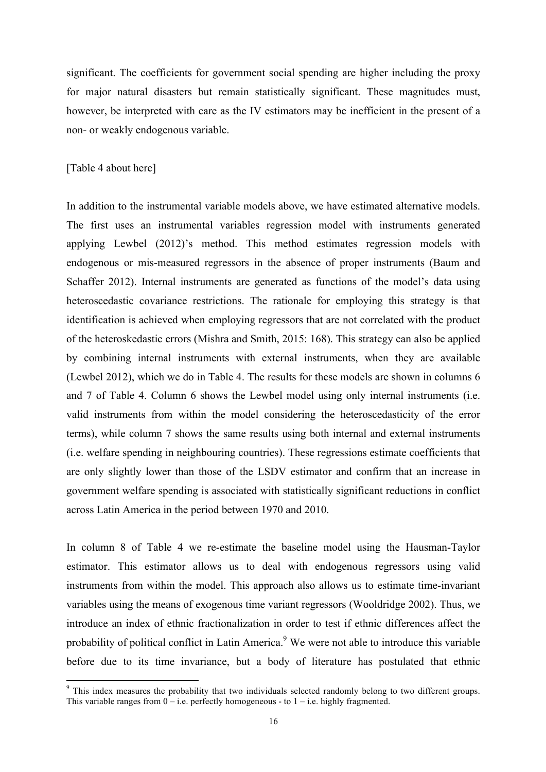significant. The coefficients for government social spending are higher including the proxy for major natural disasters but remain statistically significant. These magnitudes must, however, be interpreted with care as the IV estimators may be inefficient in the present of a non- or weakly endogenous variable.

#### [Table 4 about here]

 

In addition to the instrumental variable models above, we have estimated alternative models. The first uses an instrumental variables regression model with instruments generated applying Lewbel (2012)'s method. This method estimates regression models with endogenous or mis-measured regressors in the absence of proper instruments (Baum and Schaffer 2012). Internal instruments are generated as functions of the model's data using heteroscedastic covariance restrictions. The rationale for employing this strategy is that identification is achieved when employing regressors that are not correlated with the product of the heteroskedastic errors (Mishra and Smith, 2015: 168). This strategy can also be applied by combining internal instruments with external instruments, when they are available (Lewbel 2012), which we do in Table 4. The results for these models are shown in columns 6 and 7 of Table 4. Column 6 shows the Lewbel model using only internal instruments (i.e. valid instruments from within the model considering the heteroscedasticity of the error terms), while column 7 shows the same results using both internal and external instruments (i.e. welfare spending in neighbouring countries). These regressions estimate coefficients that are only slightly lower than those of the LSDV estimator and confirm that an increase in government welfare spending is associated with statistically significant reductions in conflict across Latin America in the period between 1970 and 2010.

In column 8 of Table 4 we re-estimate the baseline model using the Hausman-Taylor estimator. This estimator allows us to deal with endogenous regressors using valid instruments from within the model. This approach also allows us to estimate time-invariant variables using the means of exogenous time variant regressors (Wooldridge 2002). Thus, we introduce an index of ethnic fractionalization in order to test if ethnic differences affect the probability of political conflict in Latin America.<sup>9</sup> We were not able to introduce this variable before due to its time invariance, but a body of literature has postulated that ethnic

<sup>&</sup>lt;sup>9</sup> This index measures the probability that two individuals selected randomly belong to two different groups. This variable ranges from  $0 - i.e.$  perfectly homogeneous - to  $1 - i.e.$  highly fragmented.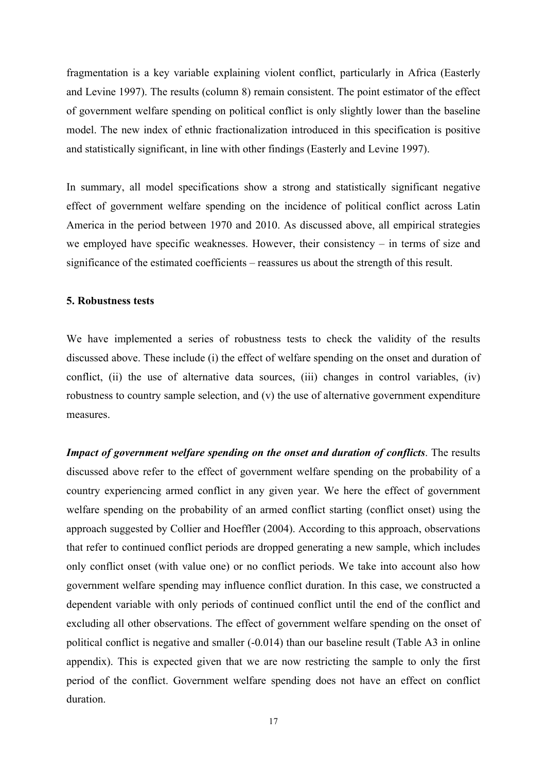fragmentation is a key variable explaining violent conflict, particularly in Africa (Easterly and Levine 1997). The results (column 8) remain consistent. The point estimator of the effect of government welfare spending on political conflict is only slightly lower than the baseline model. The new index of ethnic fractionalization introduced in this specification is positive and statistically significant, in line with other findings (Easterly and Levine 1997).

In summary, all model specifications show a strong and statistically significant negative effect of government welfare spending on the incidence of political conflict across Latin America in the period between 1970 and 2010. As discussed above, all empirical strategies we employed have specific weaknesses. However, their consistency – in terms of size and significance of the estimated coefficients – reassures us about the strength of this result.

#### **5. Robustness tests**

We have implemented a series of robustness tests to check the validity of the results discussed above. These include (i) the effect of welfare spending on the onset and duration of conflict, (ii) the use of alternative data sources, (iii) changes in control variables, (iv) robustness to country sample selection, and (v) the use of alternative government expenditure measures.

*Impact of government welfare spending on the onset and duration of conflicts*. The results discussed above refer to the effect of government welfare spending on the probability of a country experiencing armed conflict in any given year. We here the effect of government welfare spending on the probability of an armed conflict starting (conflict onset) using the approach suggested by Collier and Hoeffler (2004). According to this approach, observations that refer to continued conflict periods are dropped generating a new sample, which includes only conflict onset (with value one) or no conflict periods. We take into account also how government welfare spending may influence conflict duration. In this case, we constructed a dependent variable with only periods of continued conflict until the end of the conflict and excluding all other observations. The effect of government welfare spending on the onset of political conflict is negative and smaller (-0.014) than our baseline result (Table A3 in online appendix). This is expected given that we are now restricting the sample to only the first period of the conflict. Government welfare spending does not have an effect on conflict duration.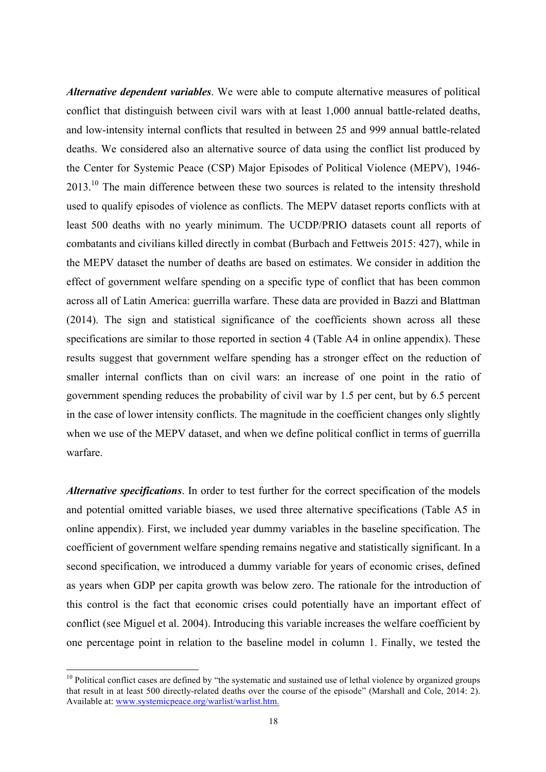*Alternative dependent variables*. We were able to compute alternative measures of political conflict that distinguish between civil wars with at least 1,000 annual battle-related deaths, and low-intensity internal conflicts that resulted in between 25 and 999 annual battle-related deaths. We considered also an alternative source of data using the conflict list produced by the Center for Systemic Peace (CSP) Major Episodes of Political Violence (MEPV), 1946-  $2013$ <sup> $10$ </sup>. The main difference between these two sources is related to the intensity threshold used to qualify episodes of violence as conflicts. The MEPV dataset reports conflicts with at least 500 deaths with no yearly minimum. The UCDP/PRIO datasets count all reports of combatants and civilians killed directly in combat (Burbach and Fettweis 2015: 427), while in the MEPV dataset the number of deaths are based on estimates. We consider in addition the effect of government welfare spending on a specific type of conflict that has been common across all of Latin America: guerrilla warfare. These data are provided in Bazzi and Blattman (2014). The sign and statistical significance of the coefficients shown across all these specifications are similar to those reported in section 4 (Table A4 in online appendix). These results suggest that government welfare spending has a stronger effect on the reduction of smaller internal conflicts than on civil wars: an increase of one point in the ratio of government spending reduces the probability of civil war by 1.5 per cent, but by 6.5 percent in the case of lower intensity conflicts. The magnitude in the coefficient changes only slightly when we use of the MEPV dataset, and when we define political conflict in terms of guerrilla warfare.

*Alternative specifications*. In order to test further for the correct specification of the models and potential omitted variable biases, we used three alternative specifications (Table A5 in online appendix). First, we included year dummy variables in the baseline specification. The coefficient of government welfare spending remains negative and statistically significant. In a second specification, we introduced a dummy variable for years of economic crises, defined as years when GDP per capita growth was below zero. The rationale for the introduction of this control is the fact that economic crises could potentially have an important effect of conflict (see Miguel et al. 2004). Introducing this variable increases the welfare coefficient by one percentage point in relation to the baseline model in column 1. Finally, we tested the

 

 $10$  Political conflict cases are defined by "the systematic and sustained use of lethal violence by organized groups that result in at least 500 directly-related deaths over the course of the episode" (Marshall and Cole, 2014: 2). Available at: www.systemicpeace.org/warlist/warlist.htm.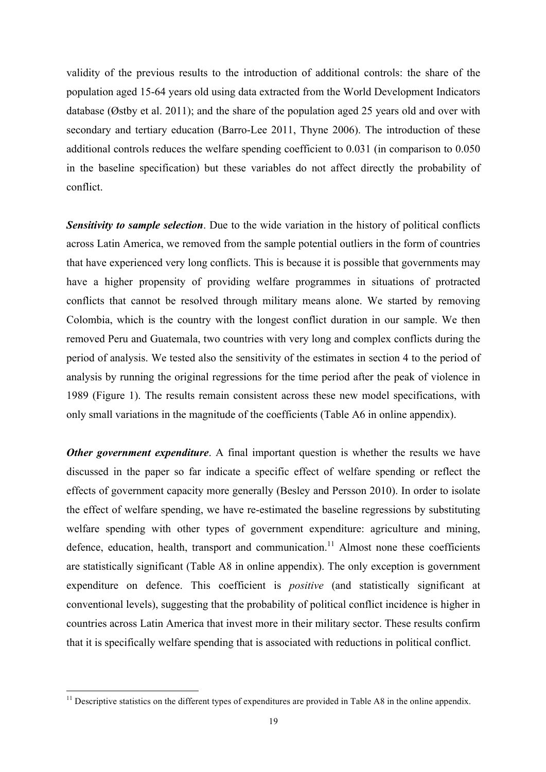validity of the previous results to the introduction of additional controls: the share of the population aged 15-64 years old using data extracted from the World Development Indicators database (Østby et al. 2011); and the share of the population aged 25 years old and over with secondary and tertiary education (Barro-Lee 2011, Thyne 2006). The introduction of these additional controls reduces the welfare spending coefficient to 0.031 (in comparison to 0.050 in the baseline specification) but these variables do not affect directly the probability of conflict.

*Sensitivity to sample selection*. Due to the wide variation in the history of political conflicts across Latin America, we removed from the sample potential outliers in the form of countries that have experienced very long conflicts. This is because it is possible that governments may have a higher propensity of providing welfare programmes in situations of protracted conflicts that cannot be resolved through military means alone. We started by removing Colombia, which is the country with the longest conflict duration in our sample. We then removed Peru and Guatemala, two countries with very long and complex conflicts during the period of analysis. We tested also the sensitivity of the estimates in section 4 to the period of analysis by running the original regressions for the time period after the peak of violence in 1989 (Figure 1). The results remain consistent across these new model specifications, with only small variations in the magnitude of the coefficients (Table A6 in online appendix).

*Other government expenditure.* A final important question is whether the results we have discussed in the paper so far indicate a specific effect of welfare spending or reflect the effects of government capacity more generally (Besley and Persson 2010). In order to isolate the effect of welfare spending, we have re-estimated the baseline regressions by substituting welfare spending with other types of government expenditure: agriculture and mining, defence, education, health, transport and communication.<sup>11</sup> Almost none these coefficients are statistically significant (Table A8 in online appendix). The only exception is government expenditure on defence. This coefficient is *positive* (and statistically significant at conventional levels), suggesting that the probability of political conflict incidence is higher in countries across Latin America that invest more in their military sector. These results confirm that it is specifically welfare spending that is associated with reductions in political conflict.

<u> 1989 - Johann Stein, fransk politiker (d. 1989)</u>

 $11$  Descriptive statistics on the different types of expenditures are provided in Table A8 in the online appendix.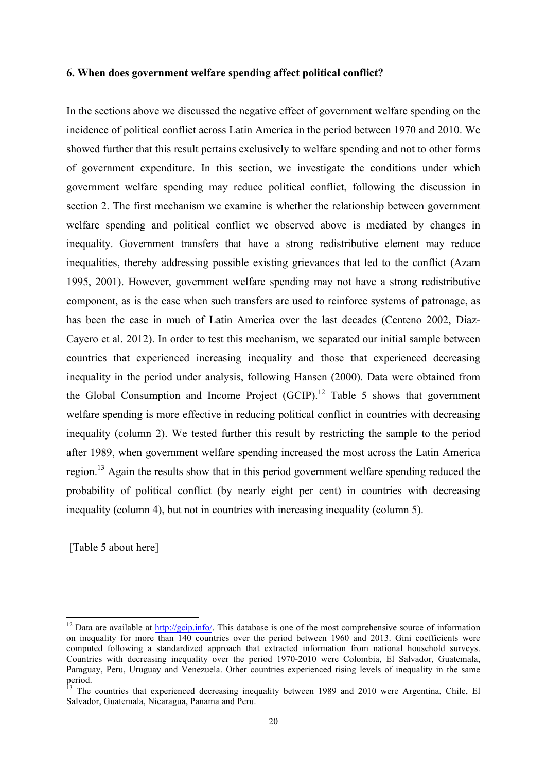#### **6. When does government welfare spending affect political conflict?**

In the sections above we discussed the negative effect of government welfare spending on the incidence of political conflict across Latin America in the period between 1970 and 2010. We showed further that this result pertains exclusively to welfare spending and not to other forms of government expenditure. In this section, we investigate the conditions under which government welfare spending may reduce political conflict, following the discussion in section 2. The first mechanism we examine is whether the relationship between government welfare spending and political conflict we observed above is mediated by changes in inequality. Government transfers that have a strong redistributive element may reduce inequalities, thereby addressing possible existing grievances that led to the conflict (Azam 1995, 2001). However, government welfare spending may not have a strong redistributive component, as is the case when such transfers are used to reinforce systems of patronage, as has been the case in much of Latin America over the last decades (Centeno 2002, Diaz-Cayero et al. 2012). In order to test this mechanism, we separated our initial sample between countries that experienced increasing inequality and those that experienced decreasing inequality in the period under analysis, following Hansen (2000). Data were obtained from the Global Consumption and Income Project  $(GCIP)$ <sup>12</sup> Table 5 shows that government welfare spending is more effective in reducing political conflict in countries with decreasing inequality (column 2). We tested further this result by restricting the sample to the period after 1989, when government welfare spending increased the most across the Latin America region.<sup>13</sup> Again the results show that in this period government welfare spending reduced the probability of political conflict (by nearly eight per cent) in countries with decreasing inequality (column 4), but not in countries with increasing inequality (column 5).

[Table 5 about here]

 

<sup>&</sup>lt;sup>12</sup> Data are available at http://gcip.info/. This database is one of the most comprehensive source of information on inequality for more than 140 countries over the period between 1960 and 2013. Gini coefficients were computed following a standardized approach that extracted information from national household surveys. Countries with decreasing inequality over the period 1970-2010 were Colombia, El Salvador, Guatemala, Paraguay, Peru, Uruguay and Venezuela. Other countries experienced rising levels of inequality in the same period.

<sup>&</sup>lt;sup>3</sup> The countries that experienced decreasing inequality between 1989 and 2010 were Argentina, Chile, El Salvador, Guatemala, Nicaragua, Panama and Peru.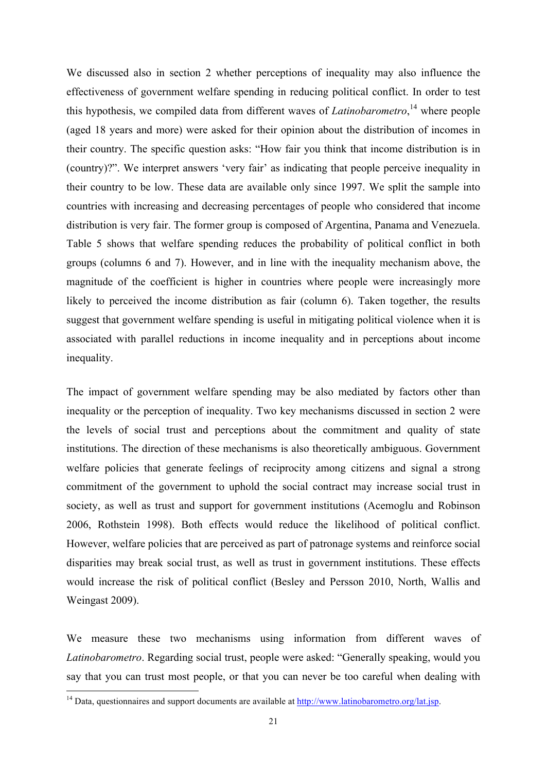We discussed also in section 2 whether perceptions of inequality may also influence the effectiveness of government welfare spending in reducing political conflict. In order to test this hypothesis, we compiled data from different waves of *Latinobarometro*, <sup>14</sup> where people (aged 18 years and more) were asked for their opinion about the distribution of incomes in their country. The specific question asks: "How fair you think that income distribution is in (country)?". We interpret answers 'very fair' as indicating that people perceive inequality in their country to be low. These data are available only since 1997. We split the sample into countries with increasing and decreasing percentages of people who considered that income distribution is very fair. The former group is composed of Argentina, Panama and Venezuela. Table 5 shows that welfare spending reduces the probability of political conflict in both groups (columns 6 and 7). However, and in line with the inequality mechanism above, the magnitude of the coefficient is higher in countries where people were increasingly more likely to perceived the income distribution as fair (column 6). Taken together, the results suggest that government welfare spending is useful in mitigating political violence when it is associated with parallel reductions in income inequality and in perceptions about income inequality.

The impact of government welfare spending may be also mediated by factors other than inequality or the perception of inequality. Two key mechanisms discussed in section 2 were the levels of social trust and perceptions about the commitment and quality of state institutions. The direction of these mechanisms is also theoretically ambiguous. Government welfare policies that generate feelings of reciprocity among citizens and signal a strong commitment of the government to uphold the social contract may increase social trust in society, as well as trust and support for government institutions (Acemoglu and Robinson 2006, Rothstein 1998). Both effects would reduce the likelihood of political conflict. However, welfare policies that are perceived as part of patronage systems and reinforce social disparities may break social trust, as well as trust in government institutions. These effects would increase the risk of political conflict (Besley and Persson 2010, North, Wallis and Weingast 2009).

We measure these two mechanisms using information from different waves of *Latinobarometro*. Regarding social trust, people were asked: "Generally speaking, would you say that you can trust most people, or that you can never be too careful when dealing with

<u> 1989 - Johann Stein, fransk politiker (d. 1989)</u>

<sup>&</sup>lt;sup>14</sup> Data, questionnaires and support documents are available at http://www.latinobarometro.org/lat.jsp.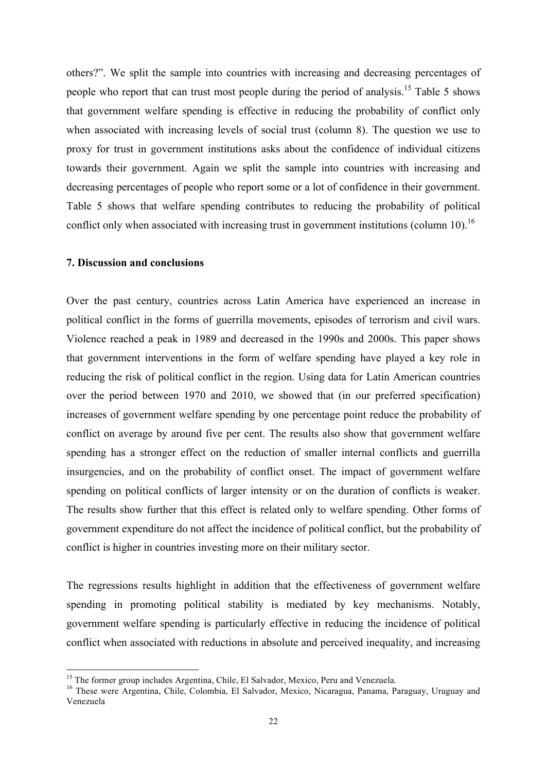others?". We split the sample into countries with increasing and decreasing percentages of people who report that can trust most people during the period of analysis.<sup>15</sup> Table 5 shows that government welfare spending is effective in reducing the probability of conflict only when associated with increasing levels of social trust (column 8). The question we use to proxy for trust in government institutions asks about the confidence of individual citizens towards their government. Again we split the sample into countries with increasing and decreasing percentages of people who report some or a lot of confidence in their government. Table 5 shows that welfare spending contributes to reducing the probability of political conflict only when associated with increasing trust in government institutions (column 10).<sup>16</sup>

### **7. Discussion and conclusions**

 

Over the past century, countries across Latin America have experienced an increase in political conflict in the forms of guerrilla movements, episodes of terrorism and civil wars. Violence reached a peak in 1989 and decreased in the 1990s and 2000s. This paper shows that government interventions in the form of welfare spending have played a key role in reducing the risk of political conflict in the region. Using data for Latin American countries over the period between 1970 and 2010, we showed that (in our preferred specification) increases of government welfare spending by one percentage point reduce the probability of conflict on average by around five per cent. The results also show that government welfare spending has a stronger effect on the reduction of smaller internal conflicts and guerrilla insurgencies, and on the probability of conflict onset. The impact of government welfare spending on political conflicts of larger intensity or on the duration of conflicts is weaker. The results show further that this effect is related only to welfare spending. Other forms of government expenditure do not affect the incidence of political conflict, but the probability of conflict is higher in countries investing more on their military sector.

The regressions results highlight in addition that the effectiveness of government welfare spending in promoting political stability is mediated by key mechanisms. Notably, government welfare spending is particularly effective in reducing the incidence of political conflict when associated with reductions in absolute and perceived inequality, and increasing

<sup>&</sup>lt;sup>15</sup> The former group includes Argentina, Chile, El Salvador, Mexico, Peru and Venezuela.

<sup>&</sup>lt;sup>16</sup> These were Argentina, Chile, Colombia, El Salvador, Mexico, Nicaragua, Panama, Paraguay, Uruguay and Venezuela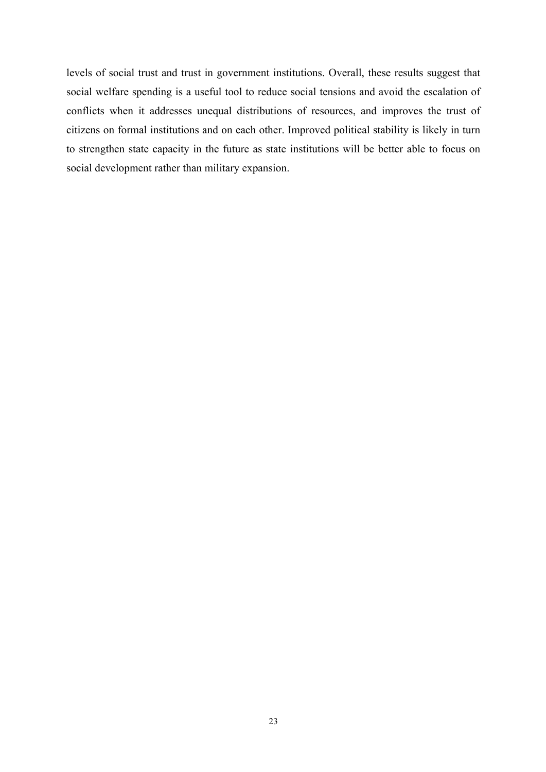levels of social trust and trust in government institutions. Overall, these results suggest that social welfare spending is a useful tool to reduce social tensions and avoid the escalation of conflicts when it addresses unequal distributions of resources, and improves the trust of citizens on formal institutions and on each other. Improved political stability is likely in turn to strengthen state capacity in the future as state institutions will be better able to focus on social development rather than military expansion.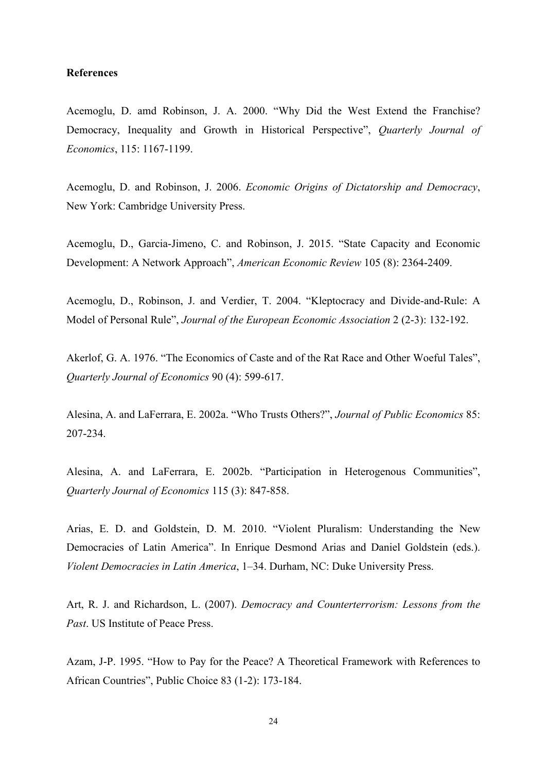#### **References**

Acemoglu, D. amd Robinson, J. A. 2000. "Why Did the West Extend the Franchise? Democracy, Inequality and Growth in Historical Perspective", *Quarterly Journal of Economics*, 115: 1167-1199.

Acemoglu, D. and Robinson, J. 2006. *Economic Origins of Dictatorship and Democracy*, New York: Cambridge University Press.

Acemoglu, D., Garcia-Jimeno, C. and Robinson, J. 2015. "State Capacity and Economic Development: A Network Approach", *American Economic Review* 105 (8): 2364-2409.

Acemoglu, D., Robinson, J. and Verdier, T. 2004. "Kleptocracy and Divide-and-Rule: A Model of Personal Rule", *Journal of the European Economic Association* 2 (2-3): 132-192.

Akerlof, G. A. 1976. "The Economics of Caste and of the Rat Race and Other Woeful Tales", *Quarterly Journal of Economics* 90 (4): 599-617.

Alesina, A. and LaFerrara, E. 2002a. "Who Trusts Others?", *Journal of Public Economics* 85: 207-234.

Alesina, A. and LaFerrara, E. 2002b. "Participation in Heterogenous Communities", *Quarterly Journal of Economics* 115 (3): 847-858.

Arias, E. D. and Goldstein, D. M. 2010. "Violent Pluralism: Understanding the New Democracies of Latin America". In Enrique Desmond Arias and Daniel Goldstein (eds.). *Violent Democracies in Latin America*, 1–34. Durham, NC: Duke University Press.

Art, R. J. and Richardson, L. (2007). *Democracy and Counterterrorism: Lessons from the Past*. US Institute of Peace Press.

Azam, J-P. 1995. "How to Pay for the Peace? A Theoretical Framework with References to African Countries", Public Choice 83 (1-2): 173-184.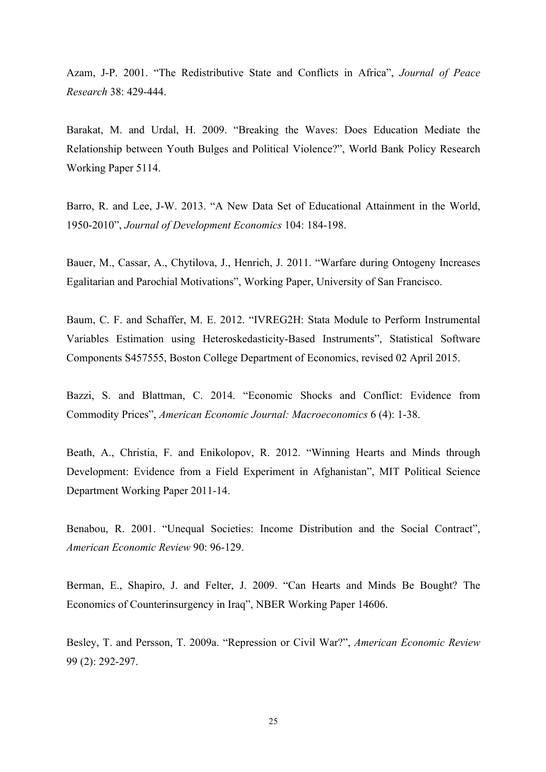Azam, J-P. 2001. "The Redistributive State and Conflicts in Africa", *Journal of Peace Research* 38: 429-444.

Barakat, M. and Urdal, H. 2009. "Breaking the Waves: Does Education Mediate the Relationship between Youth Bulges and Political Violence?", World Bank Policy Research Working Paper 5114.

Barro, R. and Lee, J-W. 2013. "A New Data Set of Educational Attainment in the World, 1950-2010", *Journal of Development Economics* 104: 184-198.

Bauer, M., Cassar, A., Chytilova, J., Henrich, J. 2011. "Warfare during Ontogeny Increases Egalitarian and Parochial Motivations", Working Paper, University of San Francisco.

Baum, C. F. and Schaffer, M. E. 2012. "IVREG2H: Stata Module to Perform Instrumental Variables Estimation using Heteroskedasticity-Based Instruments", Statistical Software Components S457555, Boston College Department of Economics, revised 02 April 2015.

Bazzi, S. and Blattman, C. 2014. "Economic Shocks and Conflict: Evidence from Commodity Prices", *American Economic Journal: Macroeconomics* 6 (4): 1-38.

Beath, A., Christia, F. and Enikolopov, R. 2012. "Winning Hearts and Minds through Development: Evidence from a Field Experiment in Afghanistan", MIT Political Science Department Working Paper 2011-14.

Benabou, R. 2001. "Unequal Societies: Income Distribution and the Social Contract", *American Economic Review* 90: 96-129.

Berman, E., Shapiro, J. and Felter, J. 2009. "Can Hearts and Minds Be Bought? The Economics of Counterinsurgency in Iraq", NBER Working Paper 14606.

Besley, T. and Persson, T. 2009a. "Repression or Civil War?", *American Economic Review* 99 (2): 292-297.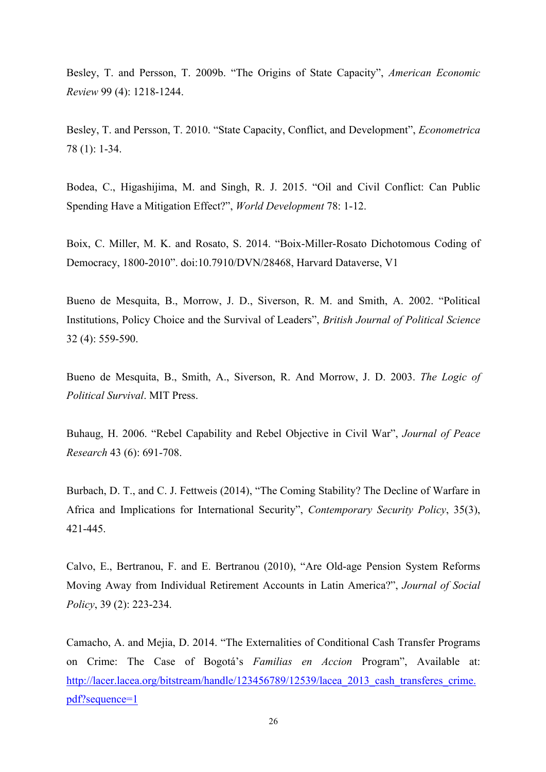Besley, T. and Persson, T. 2009b. "The Origins of State Capacity", *American Economic Review* 99 (4): 1218-1244.

Besley, T. and Persson, T. 2010. "State Capacity, Conflict, and Development", *Econometrica* 78 (1): 1-34.

Bodea, C., Higashijima, M. and Singh, R. J. 2015. "Oil and Civil Conflict: Can Public Spending Have a Mitigation Effect?", *World Development* 78: 1-12.

Boix, C. Miller, M. K. and Rosato, S. 2014. "Boix-Miller-Rosato Dichotomous Coding of Democracy, 1800-2010". doi:10.7910/DVN/28468, Harvard Dataverse, V1

Bueno de Mesquita, B., Morrow, J. D., Siverson, R. M. and Smith, A. 2002. "Political Institutions, Policy Choice and the Survival of Leaders", *British Journal of Political Science* 32 (4): 559-590.

Bueno de Mesquita, B., Smith, A., Siverson, R. And Morrow, J. D. 2003. *The Logic of Political Survival*. MIT Press.

Buhaug, H. 2006. "Rebel Capability and Rebel Objective in Civil War", *Journal of Peace Research* 43 (6): 691-708.

Burbach, D. T., and C. J. Fettweis (2014), "The Coming Stability? The Decline of Warfare in Africa and Implications for International Security", *Contemporary Security Policy*, 35(3), 421-445.

Calvo, E., Bertranou, F. and E. Bertranou (2010), "Are Old-age Pension System Reforms Moving Away from Individual Retirement Accounts in Latin America?", *Journal of Social Policy*, 39 (2): 223-234.

Camacho, A. and Mejia, D. 2014. "The Externalities of Conditional Cash Transfer Programs on Crime: The Case of Bogotá's *Familias en Accion* Program", Available at: http://lacer.lacea.org/bitstream/handle/123456789/12539/lacea\_2013\_cash\_transferes\_crime. pdf?sequence=1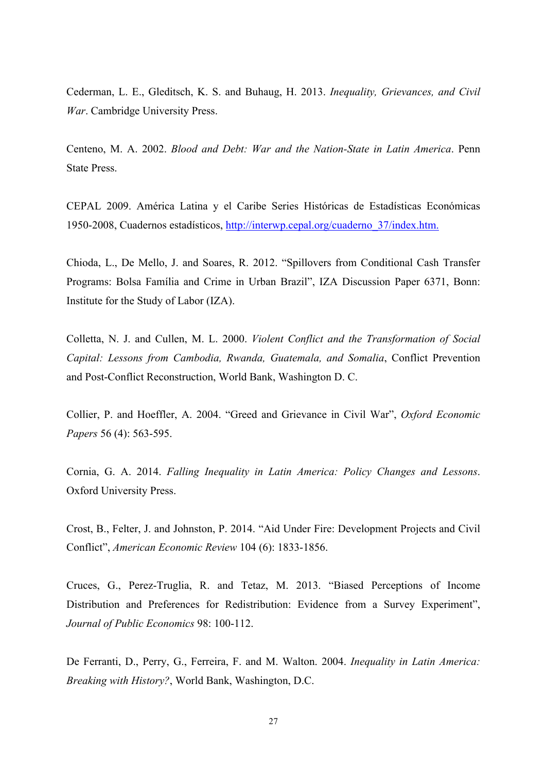Cederman, L. E., Gleditsch, K. S. and Buhaug, H. 2013. *Inequality, Grievances, and Civil War*. Cambridge University Press.

Centeno, M. A. 2002. *Blood and Debt: War and the Nation-State in Latin America*. Penn State Press.

CEPAL 2009. América Latina y el Caribe Series Históricas de Estadísticas Económicas 1950-2008, Cuadernos estadísticos, http://interwp.cepal.org/cuaderno\_37/index.htm.

Chioda, L., De Mello, J. and Soares, R. 2012. "Spillovers from Conditional Cash Transfer Programs: Bolsa Família and Crime in Urban Brazil", IZA Discussion Paper 6371, Bonn: Institute for the Study of Labor (IZA).

Colletta, N. J. and Cullen, M. L. 2000. *Violent Conflict and the Transformation of Social Capital: Lessons from Cambodia, Rwanda, Guatemala, and Somalia*, Conflict Prevention and Post-Conflict Reconstruction, World Bank, Washington D. C.

Collier, P. and Hoeffler, A. 2004. "Greed and Grievance in Civil War", *Oxford Economic Papers* 56 (4): 563-595.

Cornia, G. A. 2014. *Falling Inequality in Latin America: Policy Changes and Lessons*. Oxford University Press.

Crost, B., Felter, J. and Johnston, P. 2014. "Aid Under Fire: Development Projects and Civil Conflict", *American Economic Review* 104 (6): 1833-1856.

Cruces, G., Perez-Truglia, R. and Tetaz, M. 2013. "Biased Perceptions of Income Distribution and Preferences for Redistribution: Evidence from a Survey Experiment", *Journal of Public Economics* 98: 100-112.

De Ferranti, D., Perry, G., Ferreira, F. and M. Walton. 2004. *Inequality in Latin America: Breaking with History?*, World Bank, Washington, D.C.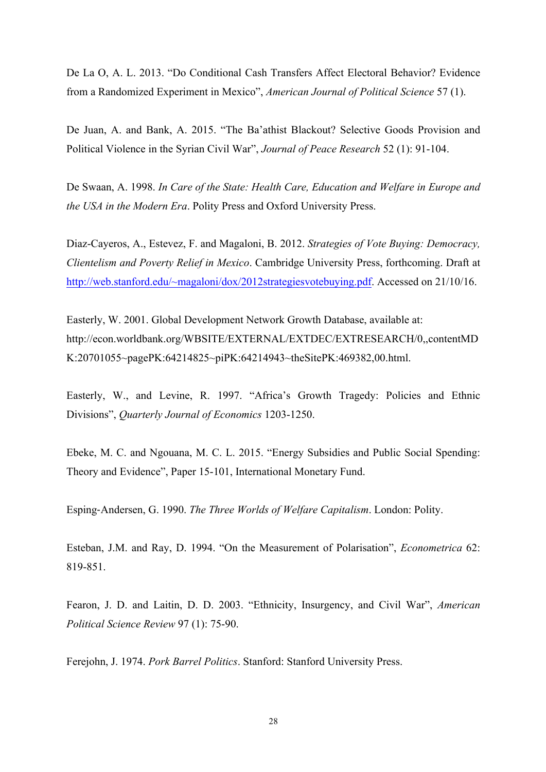De La O, A. L. 2013. "Do Conditional Cash Transfers Affect Electoral Behavior? Evidence from a Randomized Experiment in Mexico", *American Journal of Political Science* 57 (1).

De Juan, A. and Bank, A. 2015. "The Ba'athist Blackout? Selective Goods Provision and Political Violence in the Syrian Civil War", *Journal of Peace Research* 52 (1): 91-104.

De Swaan, A. 1998. *In Care of the State: Health Care, Education and Welfare in Europe and the USA in the Modern Era*. Polity Press and Oxford University Press.

Diaz-Cayeros, A., Estevez, F. and Magaloni, B. 2012. *Strategies of Vote Buying: Democracy, Clientelism and Poverty Relief in Mexico*. Cambridge University Press, forthcoming. Draft at http://web.stanford.edu/~magaloni/dox/2012strategiesvotebuying.pdf. Accessed on 21/10/16.

Easterly, W. 2001. Global Development Network Growth Database, available at: http://econ.worldbank.org/WBSITE/EXTERNAL/EXTDEC/EXTRESEARCH/0,,contentMD K:20701055~pagePK:64214825~piPK:64214943~theSitePK:469382,00.html.

Easterly, W., and Levine, R. 1997. "Africa's Growth Tragedy: Policies and Ethnic Divisions", *Quarterly Journal of Economics* 1203-1250.

Ebeke, M. C. and Ngouana, M. C. L. 2015. "Energy Subsidies and Public Social Spending: Theory and Evidence", Paper 15-101, International Monetary Fund.

Esping-Andersen, G. 1990. *The Three Worlds of Welfare Capitalism*. London: Polity.

Esteban, J.M. and Ray, D. 1994. "On the Measurement of Polarisation", *Econometrica* 62: 819-851.

Fearon, J. D. and Laitin, D. D. 2003. "Ethnicity, Insurgency, and Civil War", *American Political Science Review* 97 (1): 75-90.

Ferejohn, J. 1974. *Pork Barrel Politics*. Stanford: Stanford University Press.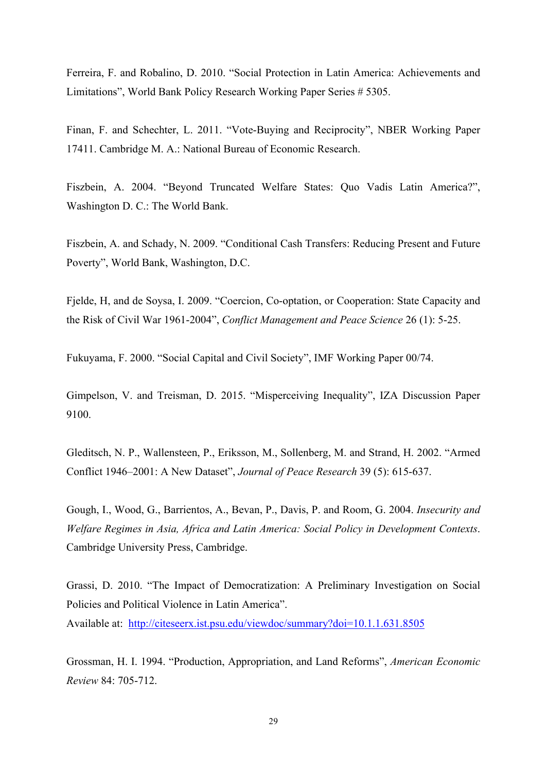Ferreira, F. and Robalino, D. 2010. "Social Protection in Latin America: Achievements and Limitations", World Bank Policy Research Working Paper Series # 5305.

Finan, F. and Schechter, L. 2011. "Vote-Buying and Reciprocity", NBER Working Paper 17411. Cambridge M. A.: National Bureau of Economic Research.

Fiszbein, A. 2004. "Beyond Truncated Welfare States: Quo Vadis Latin America?", Washington D. C.: The World Bank.

Fiszbein, A. and Schady, N. 2009. "Conditional Cash Transfers: Reducing Present and Future Poverty", World Bank, Washington, D.C.

Fjelde, H, and de Soysa, I. 2009. "Coercion, Co-optation, or Cooperation: State Capacity and the Risk of Civil War 1961-2004", *Conflict Management and Peace Science* 26 (1): 5-25.

Fukuyama, F. 2000. "Social Capital and Civil Society", IMF Working Paper 00/74.

Gimpelson, V. and Treisman, D. 2015. "Misperceiving Inequality", IZA Discussion Paper 9100.

Gleditsch, N. P., Wallensteen, P., Eriksson, M., Sollenberg, M. and Strand, H. 2002. "Armed Conflict 1946–2001: A New Dataset", *Journal of Peace Research* 39 (5): 615-637.

Gough, I., Wood, G., Barrientos, A., Bevan, P., Davis, P. and Room, G. 2004. *Insecurity and Welfare Regimes in Asia, Africa and Latin America: Social Policy in Development Contexts*. Cambridge University Press, Cambridge.

Grassi, D. 2010. "The Impact of Democratization: A Preliminary Investigation on Social Policies and Political Violence in Latin America". Available at: http://citeseerx.ist.psu.edu/viewdoc/summary?doi=10.1.1.631.8505

Grossman, H. I. 1994. "Production, Appropriation, and Land Reforms", *American Economic Review* 84: 705-712.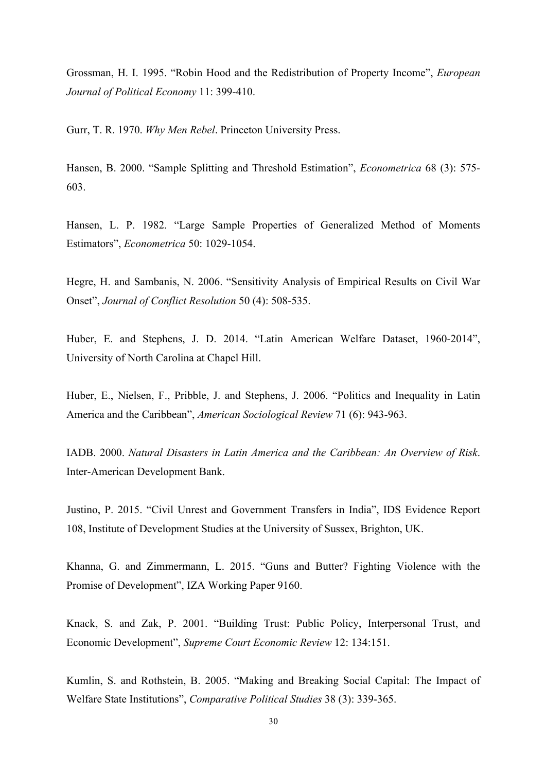Grossman, H. I. 1995. "Robin Hood and the Redistribution of Property Income", *European Journal of Political Economy* 11: 399-410.

Gurr, T. R. 1970. *Why Men Rebel*. Princeton University Press.

Hansen, B. 2000. "Sample Splitting and Threshold Estimation", *Econometrica* 68 (3): 575- 603.

Hansen, L. P. 1982. "Large Sample Properties of Generalized Method of Moments Estimators", *Econometrica* 50: 1029-1054.

Hegre, H. and Sambanis, N. 2006. "Sensitivity Analysis of Empirical Results on Civil War Onset", *Journal of Conflict Resolution* 50 (4): 508-535.

Huber, E. and Stephens, J. D. 2014. "Latin American Welfare Dataset, 1960-2014", University of North Carolina at Chapel Hill.

Huber, E., Nielsen, F., Pribble, J. and Stephens, J. 2006. "Politics and Inequality in Latin America and the Caribbean", *American Sociological Review* 71 (6): 943-963.

IADB. 2000. *Natural Disasters in Latin America and the Caribbean: An Overview of Risk*. Inter-American Development Bank.

Justino, P. 2015. "Civil Unrest and Government Transfers in India", IDS Evidence Report 108, Institute of Development Studies at the University of Sussex, Brighton, UK.

Khanna, G. and Zimmermann, L. 2015. "Guns and Butter? Fighting Violence with the Promise of Development", IZA Working Paper 9160.

Knack, S. and Zak, P. 2001. "Building Trust: Public Policy, Interpersonal Trust, and Economic Development", *Supreme Court Economic Review* 12: 134:151.

Kumlin, S. and Rothstein, B. 2005. "Making and Breaking Social Capital: The Impact of Welfare State Institutions", *Comparative Political Studies* 38 (3): 339-365.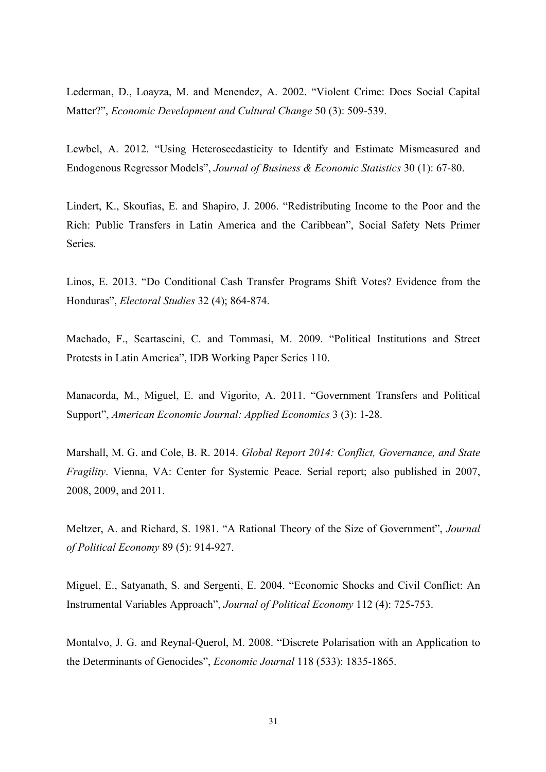Lederman, D., Loayza, M. and Menendez, A. 2002. "Violent Crime: Does Social Capital Matter?", *Economic Development and Cultural Change* 50 (3): 509-539.

Lewbel, A. 2012. "Using Heteroscedasticity to Identify and Estimate Mismeasured and Endogenous Regressor Models", *Journal of Business & Economic Statistics* 30 (1): 67-80.

Lindert, K., Skoufias, E. and Shapiro, J. 2006. "Redistributing Income to the Poor and the Rich: Public Transfers in Latin America and the Caribbean", Social Safety Nets Primer Series.

Linos, E. 2013. "Do Conditional Cash Transfer Programs Shift Votes? Evidence from the Honduras", *Electoral Studies* 32 (4); 864-874.

Machado, F., Scartascini, C. and Tommasi, M. 2009. "Political Institutions and Street Protests in Latin America", IDB Working Paper Series 110.

Manacorda, M., Miguel, E. and Vigorito, A. 2011. "Government Transfers and Political Support", *American Economic Journal: Applied Economics* 3 (3): 1-28.

Marshall, M. G. and Cole, B. R. 2014. *Global Report 2014: Conflict, Governance, and State Fragility*. Vienna, VA: Center for Systemic Peace. Serial report; also published in 2007, 2008, 2009, and 2011.

Meltzer, A. and Richard, S. 1981. "A Rational Theory of the Size of Government", *Journal of Political Economy* 89 (5): 914-927.

Miguel, E., Satyanath, S. and Sergenti, E. 2004. "Economic Shocks and Civil Conflict: An Instrumental Variables Approach", *Journal of Political Economy* 112 (4): 725-753.

Montalvo, J. G. and Reynal-Querol, M. 2008. "Discrete Polarisation with an Application to the Determinants of Genocides", *Economic Journal* 118 (533): 1835-1865.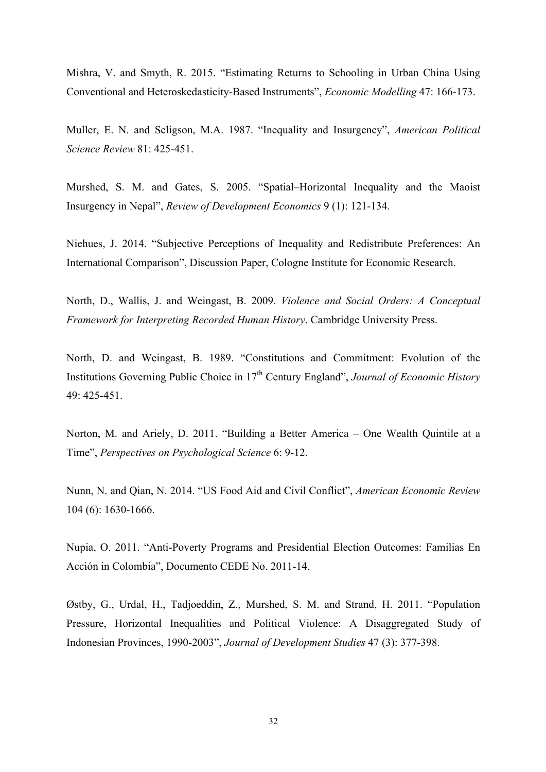Mishra, V. and Smyth, R. 2015. "Estimating Returns to Schooling in Urban China Using Conventional and Heteroskedasticity-Based Instruments", *Economic Modelling* 47: 166-173.

Muller, E. N. and Seligson, M.A. 1987. "Inequality and Insurgency", *American Political Science Review* 81: 425-451.

Murshed, S. M. and Gates, S. 2005. "Spatial–Horizontal Inequality and the Maoist Insurgency in Nepal", *Review of Development Economics* 9 (1): 121-134.

Niehues, J. 2014. "Subjective Perceptions of Inequality and Redistribute Preferences: An International Comparison", Discussion Paper, Cologne Institute for Economic Research.

North, D., Wallis, J. and Weingast, B. 2009. *Violence and Social Orders: A Conceptual Framework for Interpreting Recorded Human History*. Cambridge University Press.

North, D. and Weingast, B. 1989. "Constitutions and Commitment: Evolution of the Institutions Governing Public Choice in 17<sup>th</sup> Century England", *Journal of Economic History* 49: 425-451.

Norton, M. and Ariely, D. 2011. "Building a Better America – One Wealth Quintile at a Time", *Perspectives on Psychological Science* 6: 9-12.

Nunn, N. and Qian, N. 2014. "US Food Aid and Civil Conflict", *American Economic Review* 104 (6): 1630-1666.

Nupia, O. 2011. "Anti-Poverty Programs and Presidential Election Outcomes: Familias En Acción in Colombia", Documento CEDE No. 2011-14.

Østby, G., Urdal, H., Tadjoeddin, Z., Murshed, S. M. and Strand, H. 2011. "Population Pressure, Horizontal Inequalities and Political Violence: A Disaggregated Study of Indonesian Provinces, 1990-2003", *Journal of Development Studies* 47 (3): 377-398.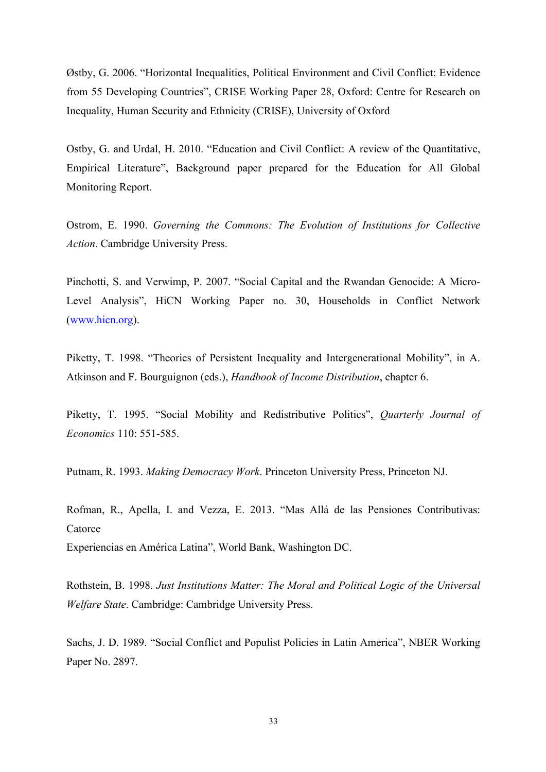Østby, G. 2006. "Horizontal Inequalities, Political Environment and Civil Conflict: Evidence from 55 Developing Countries", CRISE Working Paper 28, Oxford: Centre for Research on Inequality, Human Security and Ethnicity (CRISE), University of Oxford

Ostby, G. and Urdal, H. 2010. "Education and Civil Conflict: A review of the Quantitative, Empirical Literature", Background paper prepared for the Education for All Global Monitoring Report.

Ostrom, E. 1990. *Governing the Commons: The Evolution of Institutions for Collective Action*. Cambridge University Press.

Pinchotti, S. and Verwimp, P. 2007. "Social Capital and the Rwandan Genocide: A Micro-Level Analysis", HiCN Working Paper no. 30, Households in Conflict Network (www.hicn.org).

Piketty, T. 1998. "Theories of Persistent Inequality and Intergenerational Mobility", in A. Atkinson and F. Bourguignon (eds.), *Handbook of Income Distribution*, chapter 6.

Piketty, T. 1995. "Social Mobility and Redistributive Politics", *Quarterly Journal of Economics* 110: 551-585.

Putnam, R. 1993. *Making Democracy Work*. Princeton University Press, Princeton NJ.

Rofman, R., Apella, I. and Vezza, E. 2013. "Mas Allá de las Pensiones Contributivas: **Catorce** 

Experiencias en América Latina", World Bank, Washington DC.

Rothstein, B. 1998. *Just Institutions Matter: The Moral and Political Logic of the Universal Welfare State*. Cambridge: Cambridge University Press.

Sachs, J. D. 1989. "Social Conflict and Populist Policies in Latin America", NBER Working Paper No. 2897.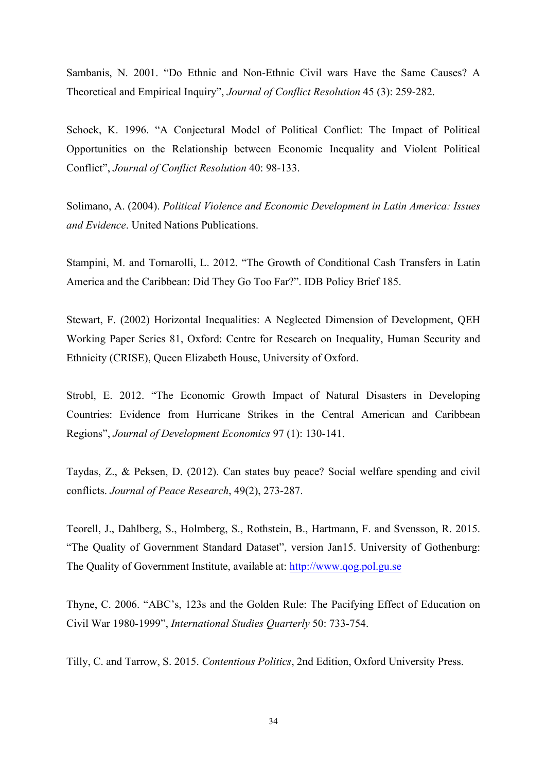Sambanis, N. 2001. "Do Ethnic and Non-Ethnic Civil wars Have the Same Causes? A Theoretical and Empirical Inquiry", *Journal of Conflict Resolution* 45 (3): 259-282.

Schock, K. 1996. "A Conjectural Model of Political Conflict: The Impact of Political Opportunities on the Relationship between Economic Inequality and Violent Political Conflict", *Journal of Conflict Resolution* 40: 98-133.

Solimano, A. (2004). *Political Violence and Economic Development in Latin America: Issues and Evidence*. United Nations Publications.

Stampini, M. and Tornarolli, L. 2012. "The Growth of Conditional Cash Transfers in Latin America and the Caribbean: Did They Go Too Far?". IDB Policy Brief 185.

Stewart, F. (2002) Horizontal Inequalities: A Neglected Dimension of Development, QEH Working Paper Series 81, Oxford: Centre for Research on Inequality, Human Security and Ethnicity (CRISE), Queen Elizabeth House, University of Oxford.

Strobl, E. 2012. "The Economic Growth Impact of Natural Disasters in Developing Countries: Evidence from Hurricane Strikes in the Central American and Caribbean Regions", *Journal of Development Economics* 97 (1): 130-141.

Taydas, Z., & Peksen, D. (2012). Can states buy peace? Social welfare spending and civil conflicts. *Journal of Peace Research*, 49(2), 273-287.

Teorell, J., Dahlberg, S., Holmberg, S., Rothstein, B., Hartmann, F. and Svensson, R. 2015. "The Quality of Government Standard Dataset", version Jan15. University of Gothenburg: The Quality of Government Institute, available at: http://www.qog.pol.gu.se

Thyne, C. 2006. "ABC's, 123s and the Golden Rule: The Pacifying Effect of Education on Civil War 1980-1999", *International Studies Quarterly* 50: 733-754.

Tilly, C. and Tarrow, S. 2015. *Contentious Politics*, 2nd Edition, Oxford University Press.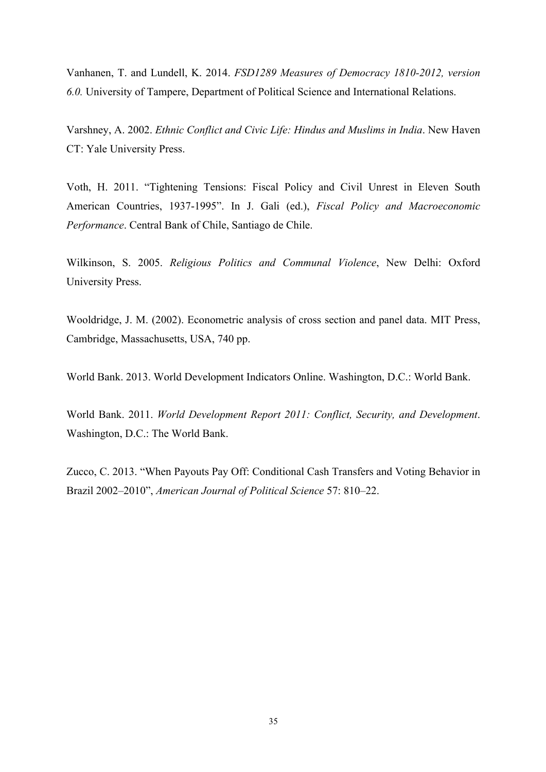Vanhanen, T. and Lundell, K. 2014. *FSD1289 Measures of Democracy 1810-2012, version 6.0.* University of Tampere, Department of Political Science and International Relations.

Varshney, A. 2002. *Ethnic Conflict and Civic Life: Hindus and Muslims in India*. New Haven CT: Yale University Press.

Voth, H. 2011. "Tightening Tensions: Fiscal Policy and Civil Unrest in Eleven South American Countries, 1937-1995". In J. Gali (ed.), *Fiscal Policy and Macroeconomic Performance*. Central Bank of Chile, Santiago de Chile.

Wilkinson, S. 2005. *Religious Politics and Communal Violence*, New Delhi: Oxford University Press.

Wooldridge, J. M. (2002). Econometric analysis of cross section and panel data. MIT Press, Cambridge, Massachusetts, USA, 740 pp.

World Bank. 2013. World Development Indicators Online. Washington, D.C.: World Bank.

World Bank. 2011. *World Development Report 2011: Conflict, Security, and Development*. Washington, D.C.: The World Bank.

Zucco, C. 2013. "When Payouts Pay Off: Conditional Cash Transfers and Voting Behavior in Brazil 2002–2010", *American Journal of Political Science* 57: 810–22.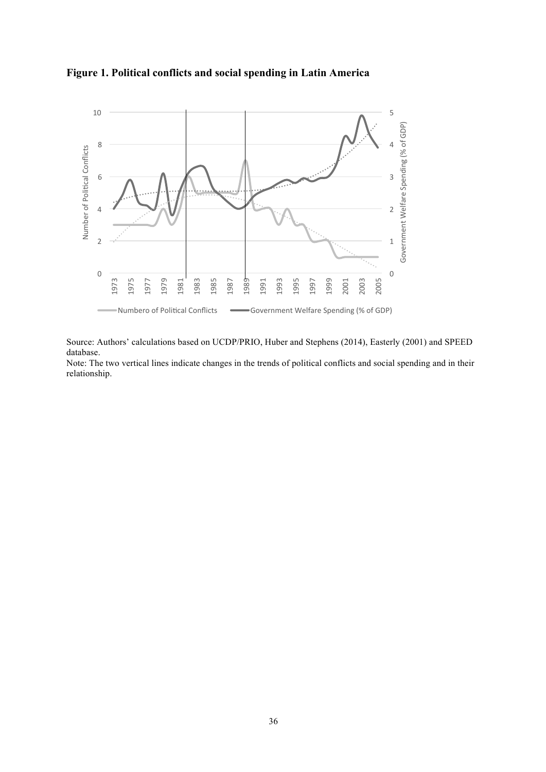

**Figure 1. Political conflicts and social spending in Latin America** 

Source: Authors' calculations based on UCDP/PRIO, Huber and Stephens (2014), Easterly (2001) and SPEED database.

Note: The two vertical lines indicate changes in the trends of political conflicts and social spending and in their relationship.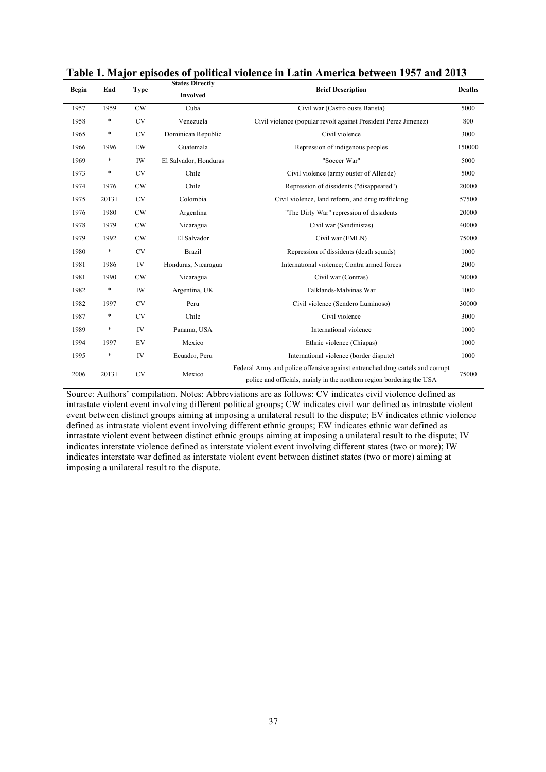| <b>Begin</b> | End     | <b>Type</b> | <b>States Directly</b><br>Involved | <b>Brief Description</b>                                                                                                                               | <b>Deaths</b> |
|--------------|---------|-------------|------------------------------------|--------------------------------------------------------------------------------------------------------------------------------------------------------|---------------|
| 1957         | 1959    | CW          | Cuba                               | Civil war (Castro ousts Batista)                                                                                                                       | 5000          |
| 1958         | ∗       | CV          | Venezuela                          | Civil violence (popular revolt against President Perez Jimenez)                                                                                        | 800           |
| 1965         | $\ast$  | CV          | Dominican Republic                 | Civil violence                                                                                                                                         | 3000          |
| 1966         | 1996    | EW          | Guatemala                          | Repression of indigenous peoples                                                                                                                       | 150000        |
| 1969         | $\ast$  | IW          | El Salvador, Honduras              | "Soccer War"                                                                                                                                           | 5000          |
| 1973         | $\ast$  | CV          | Chile                              | Civil violence (army ouster of Allende)                                                                                                                | 5000          |
| 1974         | 1976    | CW          | Chile                              | Repression of dissidents ("disappeared")                                                                                                               | 20000         |
| 1975         | $2013+$ | <b>CV</b>   | Colombia                           | Civil violence, land reform, and drug trafficking                                                                                                      | 57500         |
| 1976         | 1980    | CW          | Argentina                          | "The Dirty War" repression of dissidents                                                                                                               | 20000         |
| 1978         | 1979    | CW          | Nicaragua                          | Civil war (Sandinistas)                                                                                                                                | 40000         |
| 1979         | 1992    | CW          | El Salvador                        | Civil war (FMLN)                                                                                                                                       | 75000         |
| 1980         | $\ast$  | CV          | <b>Brazil</b>                      | Repression of dissidents (death squads)                                                                                                                | 1000          |
| 1981         | 1986    | IV          | Honduras, Nicaragua                | International violence; Contra armed forces                                                                                                            | 2000          |
| 1981         | 1990    | CW          | Nicaragua                          | Civil war (Contras)                                                                                                                                    | 30000         |
| 1982         | ∗       | IW          | Argentina, UK                      | Falklands-Malvinas War                                                                                                                                 | 1000          |
| 1982         | 1997    | CV          | Peru                               | Civil violence (Sendero Luminoso)                                                                                                                      | 30000         |
| 1987         | ∗       | <b>CV</b>   | Chile                              | Civil violence                                                                                                                                         | 3000          |
| 1989         | $\ast$  | IV          | Panama, USA                        | International violence                                                                                                                                 | 1000          |
| 1994         | 1997    | EV          | Mexico                             | Ethnic violence (Chiapas)                                                                                                                              | 1000          |
| 1995         | $\ast$  | IV          | Ecuador, Peru                      | International violence (border dispute)                                                                                                                | 1000          |
| 2006         | $2013+$ | <b>CV</b>   | Mexico                             | Federal Army and police offensive against entrenched drug cartels and corrupt<br>police and officials, mainly in the northern region bordering the USA | 75000         |

## **Table 1. Major episodes of political violence in Latin America between 1957 and 2013**

Source: Authors' compilation. Notes: Abbreviations are as follows: CV indicates civil violence defined as intrastate violent event involving different political groups; CW indicates civil war defined as intrastate violent event between distinct groups aiming at imposing a unilateral result to the dispute; EV indicates ethnic violence defined as intrastate violent event involving different ethnic groups; EW indicates ethnic war defined as intrastate violent event between distinct ethnic groups aiming at imposing a unilateral result to the dispute; IV indicates interstate violence defined as interstate violent event involving different states (two or more); IW indicates interstate war defined as interstate violent event between distinct states (two or more) aiming at imposing a unilateral result to the dispute.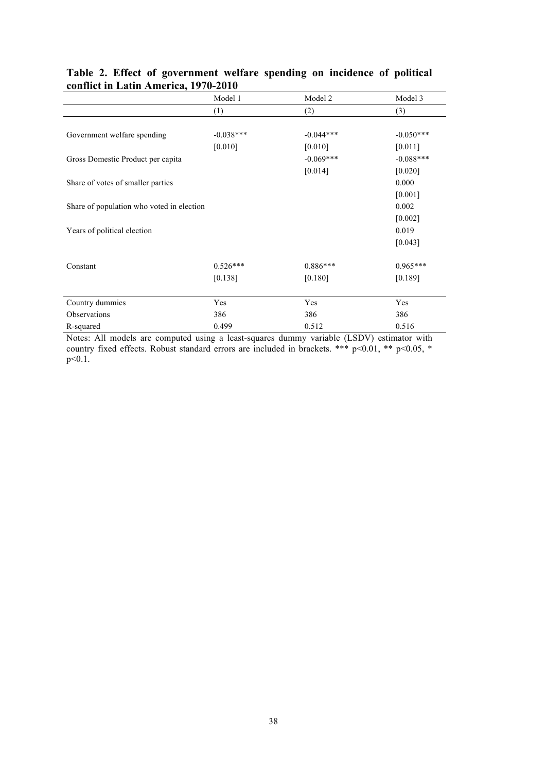|                                           | Model 1     | Model 2     | Model 3     |
|-------------------------------------------|-------------|-------------|-------------|
|                                           | (1)         | (2)         | (3)         |
|                                           |             |             |             |
| Government welfare spending               | $-0.038***$ | $-0.044***$ | $-0.050***$ |
|                                           | [0.010]     | [0.010]     | [0.011]     |
| Gross Domestic Product per capita         |             | $-0.069***$ | $-0.088***$ |
|                                           |             | [0.014]     | [0.020]     |
| Share of votes of smaller parties         |             |             | 0.000       |
|                                           |             |             | [0.001]     |
| Share of population who voted in election |             |             | 0.002       |
|                                           |             |             | [0.002]     |
| Years of political election               |             |             | 0.019       |
|                                           |             |             | [0.043]     |
|                                           |             |             |             |
| Constant                                  | $0.526***$  | $0.886***$  | $0.965***$  |
|                                           | [0.138]     | [0.180]     | [0.189]     |
|                                           |             |             |             |
| Country dummies                           | Yes         | Yes         | Yes         |
| Observations                              | 386         | 386         | 386         |
| R-squared                                 | 0.499       | 0.512       | 0.516       |

## **Table 2. Effect of government welfare spending on incidence of political conflict in Latin America, 1970-2010**

Notes: All models are computed using a least-squares dummy variable (LSDV) estimator with country fixed effects. Robust standard errors are included in brackets. \*\*\*  $p<0.01$ , \*\*  $p<0.05$ , \*  $p<0.1$ .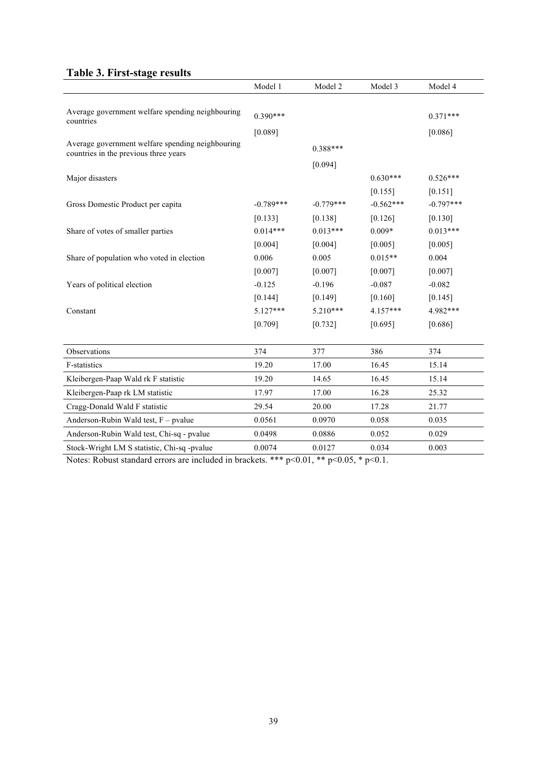## **Table 3. First-stage results**

|                                                                                           | Model 1     | Model 2     | Model 3     | Model 4     |
|-------------------------------------------------------------------------------------------|-------------|-------------|-------------|-------------|
|                                                                                           |             |             |             |             |
| Average government welfare spending neighbouring<br>countries                             | $0.390***$  |             |             | $0.371***$  |
|                                                                                           | [0.089]     |             |             | [0.086]     |
| Average government welfare spending neighbouring<br>countries in the previous three years |             | $0.388***$  |             |             |
|                                                                                           |             | [0.094]     |             |             |
| Major disasters                                                                           |             |             | $0.630***$  | $0.526***$  |
|                                                                                           |             |             | [0.155]     | [0.151]     |
| Gross Domestic Product per capita                                                         | $-0.789***$ | $-0.779***$ | $-0.562***$ | $-0.797***$ |
|                                                                                           | [0.133]     | [0.138]     | [0.126]     | [0.130]     |
| Share of votes of smaller parties                                                         | $0.014***$  | $0.013***$  | $0.009*$    | $0.013***$  |
|                                                                                           | [0.004]     | [0.004]     | [0.005]     | [0.005]     |
| Share of population who voted in election                                                 | 0.006       | 0.005       | $0.015**$   | 0.004       |
|                                                                                           | [0.007]     | [0.007]     | [0.007]     | [0.007]     |
| Years of political election                                                               | $-0.125$    | $-0.196$    | $-0.087$    | $-0.082$    |
|                                                                                           | [0.144]     | [0.149]     | [0.160]     | [0.145]     |
| Constant                                                                                  | $5.127***$  | 5.210***    | $4.157***$  | 4.982***    |
|                                                                                           | [0.709]     | [0.732]     | [0.695]     | [0.686]     |
|                                                                                           |             |             |             |             |
| Observations                                                                              | 374         | 377         | 386         | 374         |
| F-statistics                                                                              | 19.20       | 17.00       | 16.45       | 15.14       |
| Kleibergen-Paap Wald rk F statistic                                                       | 19.20       | 14.65       | 16.45       | 15.14       |
| Kleibergen-Paap rk LM statistic                                                           | 17.97       | 17.00       | 16.28       | 25.32       |
| Cragg-Donald Wald F statistic                                                             | 29.54       | 20.00       | 17.28       | 21.77       |
| Anderson-Rubin Wald test, F - pvalue                                                      | 0.0561      | 0.0970      | 0.058       | 0.035       |
| Anderson-Rubin Wald test, Chi-sq - pvalue                                                 | 0.0498      | 0.0886      | 0.052       | 0.029       |
| Stock-Wright LM S statistic, Chi-sq -pvalue                                               | 0.0074      | 0.0127      | 0.034       | 0.003       |

Notes: Robust standard errors are included in brackets. \*\*\* p<0.01, \*\* p<0.05, \* p<0.1.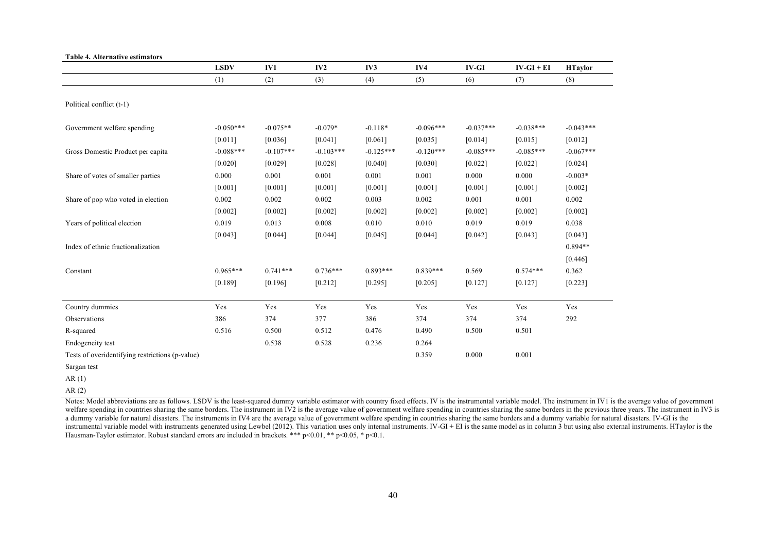|                                                 | <b>LSDV</b> | IV1         | IV <sub>2</sub> | IV3         | IV4         | $IV-GI$     | $IV-GI + EI$ | <b>HTaylor</b> |
|-------------------------------------------------|-------------|-------------|-----------------|-------------|-------------|-------------|--------------|----------------|
|                                                 | (1)         | (2)         | (3)             | (4)         | (5)         | (6)         | (7)          | (8)            |
|                                                 |             |             |                 |             |             |             |              |                |
| Political conflict (t-1)                        |             |             |                 |             |             |             |              |                |
| Government welfare spending                     | $-0.050***$ | $-0.075**$  | $-0.079*$       | $-0.118*$   | $-0.096***$ | $-0.037***$ | $-0.038***$  | $-0.043***$    |
|                                                 | [0.011]     | [0.036]     | [0.041]         | [0.061]     | [0.035]     | [0.014]     | [0.015]      | $[0.012]$      |
| Gross Domestic Product per capita               | $-0.088***$ | $-0.107***$ | $-0.103***$     | $-0.125***$ | $-0.120***$ | $-0.085***$ | $-0.085***$  | $-0.067***$    |
|                                                 | [0.020]     | [0.029]     | [0.028]         | [0.040]     | [0.030]     | [0.022]     | [0.022]      | [0.024]        |
| Share of votes of smaller parties               | 0.000       | 0.001       | 0.001           | 0.001       | 0.001       | 0.000       | 0.000        | $-0.003*$      |
|                                                 | [0.001]     | [0.001]     | [0.001]         | [0.001]     | [0.001]     | [0.001]     | [0.001]      | [0.002]        |
| Share of pop who voted in election              | 0.002       | 0.002       | 0.002           | 0.003       | 0.002       | 0.001       | 0.001        | 0.002          |
|                                                 | [0.002]     | [0.002]     | [0.002]         | [0.002]     | [0.002]     | [0.002]     | [0.002]      | [0.002]        |
| Years of political election                     | 0.019       | 0.013       | 0.008           | 0.010       | 0.010       | 0.019       | 0.019        | 0.038          |
|                                                 | [0.043]     | [0.044]     | [0.044]         | [0.045]     | [0.044]     | [0.042]     | [0.043]      | [0.043]        |
| Index of ethnic fractionalization               |             |             |                 |             |             |             |              | $0.894**$      |
|                                                 |             |             |                 |             |             |             |              | [0.446]        |
| Constant                                        | $0.965***$  | $0.741***$  | $0.736***$      | $0.893***$  | $0.839***$  | 0.569       | $0.574***$   | 0.362          |
|                                                 | [0.189]     | [0.196]     | [0.212]         | [0.295]     | [0.205]     | [0.127]     | [0.127]      | $[0.223]$      |
| Country dummies                                 | Yes         | Yes         | Yes             | Yes         | Yes         | Yes         | Yes          | Yes            |
| Observations                                    | 386         | 374         | 377             | 386         | 374         | 374         | 374          | 292            |
| R-squared                                       | 0.516       | 0.500       | 0.512           | 0.476       | 0.490       | 0.500       | 0.501        |                |
| Endogeneity test                                |             | 0.538       | 0.528           | 0.236       | 0.264       |             |              |                |
| Tests of overidentifying restrictions (p-value) |             |             |                 |             | 0.359       | 0.000       | 0.001        |                |
| Sargan test                                     |             |             |                 |             |             |             |              |                |
| AR(1)                                           |             |             |                 |             |             |             |              |                |

**Table 4. Alternative estimators**

AR (2)

Notes: Model abbreviations are as follows. LSDV is the least-squared dummy variable estimator with country fixed effects. IV is the instrumental variable model. The instrument in IV1 is the average value of government welfare spending in countries sharing the same borders. The instrument in IV2 is the average value of government welfare spending in countries sharing the same borders in the previous three years. The instrument in IV3 is a dummy variable for natural disasters. The instruments in IV4 are the average value of government welfare spending in countries sharing the same borders and a dummy variable for natural disasters. IV-GI is the instrumental variable model with instruments generated using Lewbel (2012). This variation uses only internal instruments. IV-GI + EI is the same model as in column  $\frac{3}{3}$  but using also external instruments. HTaylor i Hausman-Taylor estimator. Robust standard errors are included in brackets. \*\*\* p<0.01, \*\* p<0.05, \* p<0.1.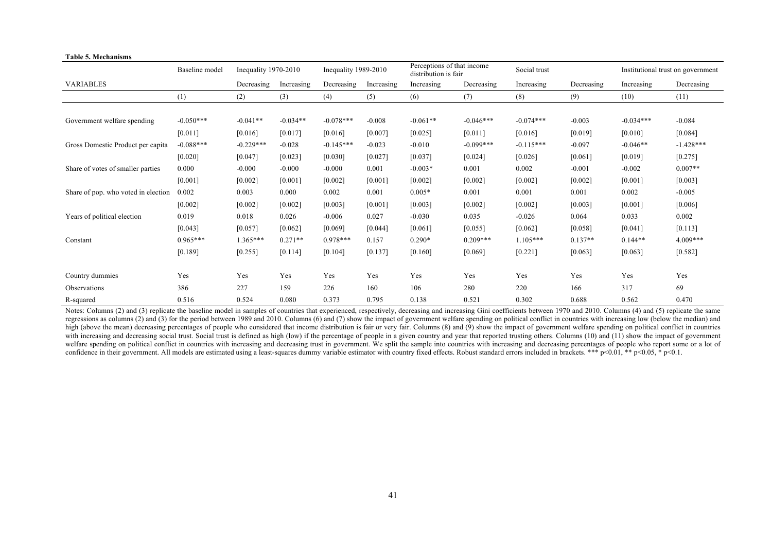|                                     | Baseline model | Inequality 1970-2010 |            | Inequality 1989-2010 |            | Perceptions of that income<br>distribution is fair |             | Social trust |            |             | Institutional trust on government |
|-------------------------------------|----------------|----------------------|------------|----------------------|------------|----------------------------------------------------|-------------|--------------|------------|-------------|-----------------------------------|
| <b>VARIABLES</b>                    |                | Decreasing           | Increasing | Decreasing           | Increasing | Increasing                                         | Decreasing  | Increasing   | Decreasing | Increasing  | Decreasing                        |
|                                     | (1)            | (2)                  | (3)        | (4)                  | (5)        | (6)                                                | (7)         | (8)          | (9)        | (10)        | (11)                              |
|                                     |                |                      |            |                      |            |                                                    |             |              |            |             |                                   |
| Government welfare spending         | $-0.050***$    | $-0.041**$           | $-0.034**$ | $-0.078***$          | $-0.008$   | $-0.061**$                                         | $-0.046***$ | $-0.074***$  | $-0.003$   | $-0.034***$ | $-0.084$                          |
|                                     | [0.011]        | [0.016]              | [0.017]    | [0.016]              | [0.007]    | [0.025]                                            | [0.011]     | [0.016]      | [0.019]    | [0.010]     | [0.084]                           |
| Gross Domestic Product per capita   | $-0.088***$    | $-0.229***$          | $-0.028$   | $-0.145***$          | $-0.023$   | $-0.010$                                           | $-0.099***$ | $-0.115***$  | $-0.097$   | $-0.046**$  | $-1.428***$                       |
|                                     | [0.020]        | [0.047]              | [0.023]    | [0.030]              | [0.027]    | [0.037]                                            | [0.024]     | [0.026]      | [0.061]    | [0.019]     | [0.275]                           |
| Share of votes of smaller parties   | 0.000          | $-0.000$             | $-0.000$   | $-0.000$             | 0.001      | $-0.003*$                                          | 0.001       | 0.002        | $-0.001$   | $-0.002$    | $0.007**$                         |
|                                     | [0.001]        | [0.002]              | [0.001]    | [0.002]              | [0.001]    | [0.002]                                            | [0.002]     | [0.002]      | [0.002]    | [0.001]     | [0.003]                           |
| Share of pop. who voted in election | 0.002          | 0.003                | 0.000      | 0.002                | 0.001      | $0.005*$                                           | 0.001       | 0.001        | 0.001      | 0.002       | $-0.005$                          |
|                                     | [0.002]        | [0.002]              | [0.002]    | [0.003]              | [0.001]    | [0.003]                                            | [0.002]     | [0.002]      | [0.003]    | [0.001]     | [0.006]                           |
| Years of political election         | 0.019          | 0.018                | 0.026      | $-0.006$             | 0.027      | $-0.030$                                           | 0.035       | $-0.026$     | 0.064      | 0.033       | 0.002                             |
|                                     | [0.043]        | [0.057]              | [0.062]    | [0.069]              | [0.044]    | [0.061]                                            | [0.055]     | [0.062]      | [0.058]    | [0.041]     | [0.113]                           |
| Constant                            | $0.965***$     | 1.365***             | $0.271**$  | $0.978***$           | 0.157      | $0.290*$                                           | $0.209***$  | $1.105***$   | $0.137**$  | $0.144**$   | $4.009***$                        |
|                                     | [0.189]        | [0.255]              | [0.114]    | [0.104]              | [0.137]    | [0.160]                                            | [0.069]     | [0.221]      | [0.063]    | [0.063]     | [0.582]                           |
|                                     |                |                      |            |                      |            |                                                    |             |              |            |             |                                   |
| Country dummies                     | Yes            | Yes                  | Yes        | Yes                  | Yes        | Yes                                                | Yes         | Yes          | Yes        | Yes         | Yes                               |
| Observations                        | 386            | 227                  | 159        | 226                  | 160        | 106                                                | 280         | 220          | 166        | 317         | 69                                |
| R-squared                           | 0.516          | 0.524                | 0.080      | 0.373                | 0.795      | 0.138                                              | 0.521       | 0.302        | 0.688      | 0.562       | 0.470                             |

**Table 5. Mechanisms**

Notes: Columns (2) and (3) replicate the baseline model in samples of countries that experienced, respectively, decreasing and increasing Gini coefficients between 1970 and 2010. Columns (4) and (5) replicate the same regressions as columns (2) and (3) for the period between 1989 and 2010. Columns (6) and (7) show the impact of government welfare spending on political conflict in countries with increasing low (below the median) and high (above the mean) decreasing percentages of people who considered that income distribution is fair or very fair. Columns (8) and (9) show the impact of government welfare spending on political conflict in countries with increasing and decreasing social trust. Social trust is defined as high (low) if the percentage of people in a given country and year that reported trusting others. Columns (10) and (11) show the impact of government welfare spending on political conflict in countries with increasing and decreasing trust in government. We split the sample into countries with increasing and decreasing percentages of people who report some or a lot of confidence in their government. All models are estimated using a least-squares dummy variable estimator with country fixed effects. Robust standard errors included in brackets. \*\*\* p<0.01, \*\* p<0.05, \* p<0.1.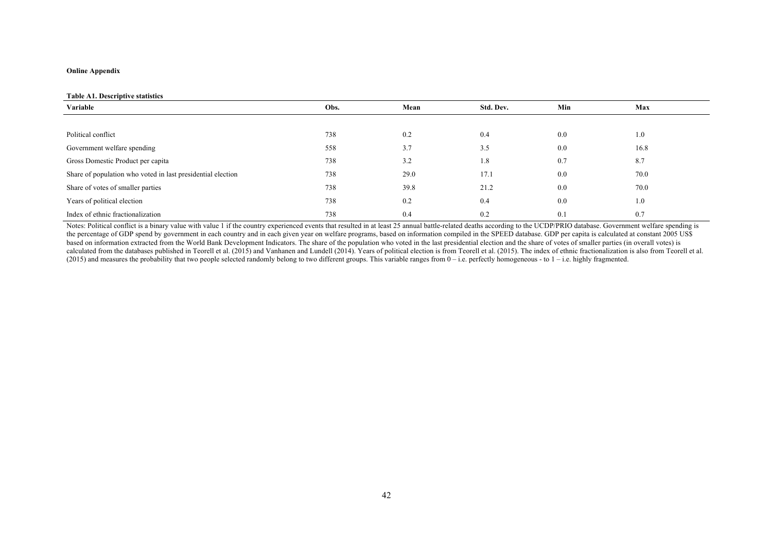#### **Online Appendix**

#### **Table A1. Descriptive statistics**

| Variable                                                    | Obs. | Mean | Std. Dev. | Min | Max  |
|-------------------------------------------------------------|------|------|-----------|-----|------|
|                                                             |      |      |           |     |      |
| Political conflict                                          | 738  | 0.2  | 0.4       | 0.0 | 1.0  |
| Government welfare spending                                 | 558  | 3.7  | 3.5       | 0.0 | 16.8 |
| Gross Domestic Product per capita                           | 738  | 3.2  | 1.8       | 0.7 | 8.7  |
| Share of population who voted in last presidential election | 738  | 29.0 | 17.1      | 0.0 | 70.0 |
| Share of votes of smaller parties                           | 738  | 39.8 | 21.2      | 0.0 | 70.0 |
| Years of political election                                 | 738  | 0.2  | 0.4       | 0.0 | 1.0  |
| Index of ethnic fractionalization                           | 738  | 0.4  | 0.2       | 0.1 | 0.7  |

Notes: Political conflict is a binary value with value 1 if the country experienced events that resulted in at least 25 annual battle-related deaths according to the UCDP/PRIO database. Government welfare spending is the percentage of GDP spend by government in each country and in each given year on welfare programs, based on information compiled in the SPEED database. GDP per capita is calculated at constant 2005 US\$ based on information extracted from the World Bank Development Indicators. The share of the population who voted in the last presidential election and the share of votes of smaller parties (in overall votes) is calculated from the databases published in Teorell et al. (2015) and Vanhanen and Lundell (2014). Years of political election is from Teorell et al. (2015). The index of ethnic fractionalization is also from Teorell et al  $(2015)$  and measures the probability that two people selected randomly belong to two different groups. This variable ranges from 0 – i.e. perfectly homogeneous - to 1 – i.e. highly fragmented.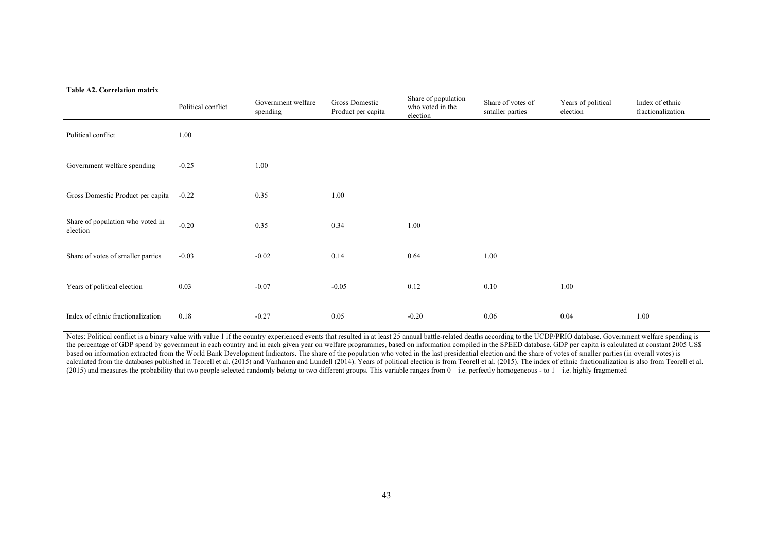| Table A2. Correlation matrix                 |                    |                                |                                      |                                                     |                                      |                                |                                      |
|----------------------------------------------|--------------------|--------------------------------|--------------------------------------|-----------------------------------------------------|--------------------------------------|--------------------------------|--------------------------------------|
|                                              | Political conflict | Government welfare<br>spending | Gross Domestic<br>Product per capita | Share of population<br>who voted in the<br>election | Share of votes of<br>smaller parties | Years of political<br>election | Index of ethnic<br>fractionalization |
| Political conflict                           | 1.00               |                                |                                      |                                                     |                                      |                                |                                      |
| Government welfare spending                  | $-0.25$            | 1.00                           |                                      |                                                     |                                      |                                |                                      |
| Gross Domestic Product per capita            | $-0.22$            | 0.35                           | 1.00                                 |                                                     |                                      |                                |                                      |
| Share of population who voted in<br>election | $-0.20$            | 0.35                           | 0.34                                 | 1.00                                                |                                      |                                |                                      |
| Share of votes of smaller parties            | $-0.03$            | $-0.02$                        | 0.14                                 | 0.64                                                | 1.00                                 |                                |                                      |
| Years of political election                  | 0.03               | $-0.07$                        | $-0.05$                              | 0.12                                                | 0.10                                 | 1.00                           |                                      |
| Index of ethnic fractionalization            | $0.18\,$           | $-0.27$                        | 0.05                                 | $-0.20$                                             | 0.06                                 | 0.04                           | 1.00                                 |

Notes: Political conflict is a binary value with value 1 if the country experienced events that resulted in at least 25 annual battle-related deaths according to the UCDP/PRIO database. Government welfare spending is the percentage of GDP spend by government in each country and in each given year on welfare programmes, based on information compiled in the SPEED database. GDP per capita is calculated at constant 2005 US\$ based on information extracted from the World Bank Development Indicators. The share of the population who voted in the last presidential election and the share of votes of smaller parties (in overall votes) is calculated from the databases published in Teorell et al. (2015) and Vanhanen and Lundell (2014). Years of political election is from Teorell et al. (2015). The index of ethnic fractionalization is also from Teorell et al  $(2015)$  and measures the probability that two people selected randomly belong to two different groups. This variable ranges from  $0 - i.e.$  perfectly homogeneous - to  $1 - i.e.$  highly fragmented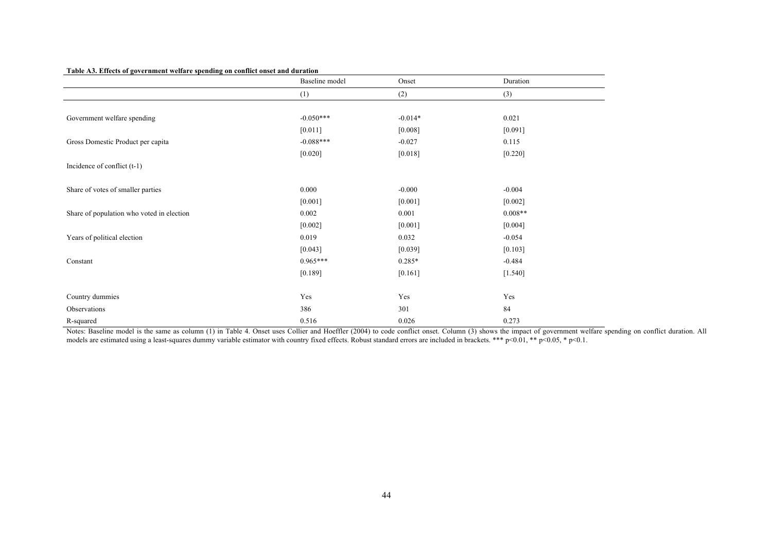#### **Table A3. Effects of government welfare spending on conflict onset and duration**

|                                           | Baseline model | Onset     | Duration  |  |
|-------------------------------------------|----------------|-----------|-----------|--|
|                                           | (1)            | (2)       | (3)       |  |
|                                           |                |           |           |  |
| Government welfare spending               | $-0.050***$    | $-0.014*$ | 0.021     |  |
|                                           | [0.011]        | [0.008]   | $[0.091]$ |  |
| Gross Domestic Product per capita         | $-0.088***$    | $-0.027$  | 0.115     |  |
|                                           | $[0.020]$      | [0.018]   | $[0.220]$ |  |
| Incidence of conflict $(t-1)$             |                |           |           |  |
|                                           |                |           |           |  |
| Share of votes of smaller parties         | 0.000          | $-0.000$  | $-0.004$  |  |
|                                           | [0.001]        | [0.001]   | $[0.002]$ |  |
| Share of population who voted in election | 0.002          | 0.001     | $0.008**$ |  |
|                                           | [0.002]        | [0.001]   | [0.004]   |  |
| Years of political election               | 0.019          | 0.032     | $-0.054$  |  |
|                                           | [0.043]        | [0.039]   | $[0.103]$ |  |
| Constant                                  | $0.965***$     | $0.285*$  | $-0.484$  |  |
|                                           | [0.189]        | [0.161]   | [1.540]   |  |
|                                           |                |           |           |  |
| Country dummies                           | Yes            | Yes       | Yes       |  |
| Observations                              | 386            | 301       | 84        |  |
| R-squared                                 | 0.516          | 0.026     | 0.273     |  |

Notes: Baseline model is the same as column (1) in Table 4. Onset uses Collier and Hoeffler (2004) to code conflict onset. Column (3) shows the impact of government welfare spending on conflict duration. All models are estimated using a least-squares dummy variable estimator with country fixed effects. Robust standard errors are included in brackets. \*\*\* p<0.01, \*\* p<0.05, \* p<0.05, \* p<0.1.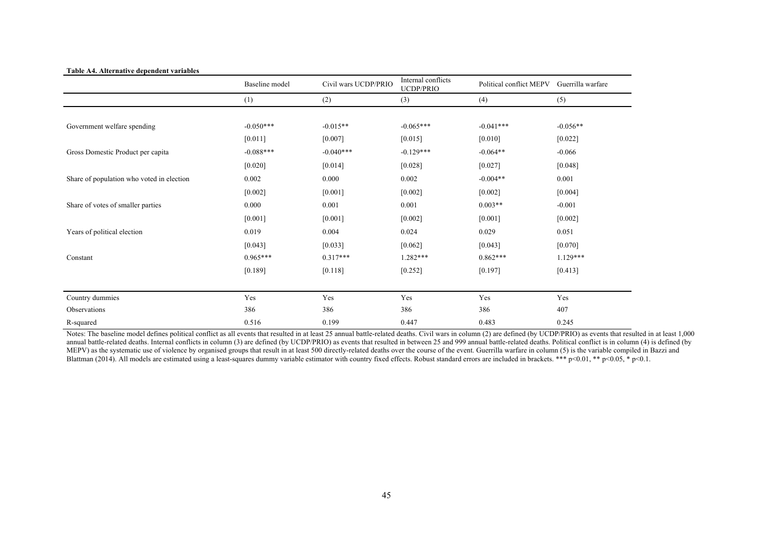|                                           | Baseline model | Civil wars UCDP/PRIO | Internal conflicts<br><b>UCDP/PRIO</b> | Political conflict MEPV | Guerrilla warfare |
|-------------------------------------------|----------------|----------------------|----------------------------------------|-------------------------|-------------------|
|                                           | (1)            | (2)                  | (3)                                    | (4)                     | (5)               |
|                                           |                |                      |                                        |                         |                   |
| Government welfare spending               | $-0.050***$    | $-0.015**$           | $-0.065***$                            | $-0.041***$             | $-0.056**$        |
|                                           | $[0.011]$      | [0.007]              | [0.015]                                | [0.010]                 | [0.022]           |
| Gross Domestic Product per capita         | $-0.088***$    | $-0.040***$          | $-0.129***$                            | $-0.064**$              | $-0.066$          |
|                                           | [0.020]        | $[0.014]$            | [0.028]                                | [0.027]                 | [0.048]           |
| Share of population who voted in election | 0.002          | 0.000                | 0.002                                  | $-0.004**$              | 0.001             |
|                                           | [0.002]        | $[0.001]$            | $[0.002]$                              | [0.002]                 | [0.004]           |
| Share of votes of smaller parties         | 0.000          | 0.001                | 0.001                                  | $0.003**$               | $-0.001$          |
|                                           | [0.001]        | [0.001]              | [0.002]                                | [0.001]                 | [0.002]           |
| Years of political election               | 0.019          | 0.004                | 0.024                                  | 0.029                   | 0.051             |
|                                           | [0.043]        | [0.033]              | [0.062]                                | [0.043]                 | $[0.070]$         |
| Constant                                  | $0.965***$     | $0.317***$           | $1.282***$                             | $0.862***$              | $1.129***$        |
|                                           | [0.189]        | [0.118]              | [0.252]                                | [0.197]                 | [0.413]           |
|                                           |                |                      |                                        |                         |                   |
| Country dummies                           | Yes            | Yes                  | Yes                                    | Yes                     | Yes               |
| Observations                              | 386            | 386                  | 386                                    | 386                     | 407               |
| R-squared                                 | 0.516          | 0.199                | 0.447                                  | 0.483                   | 0.245             |

**Table A4. Alternative dependent variables**

Notes: The baseline model defines political conflict as all events that resulted in at least 25 annual battle-related deaths. Civil wars in column (2) are defined (by UCDP/PRIO) as events that resulted in at least 1,000 annual battle-related deaths. Internal conflicts in column (3) are defined (by UCDP/PRIO) as events that resulted in between 25 and 999 annual battle-related deaths. Political conflict is in column (4) is defined (by the f MEPV) as the systematic use of violence by organised groups that result in at least 500 directly-related deaths over the course of the event. Guerrilla warfare in column (5) is the variable compiled in Bazzi and Blattman (2014). All models are estimated using a least-squares dummy variable estimator with country fixed effects. Robust standard errors are included in brackets. \*\*\* p<0.01, \*\* p<0.05, \* p<0.1.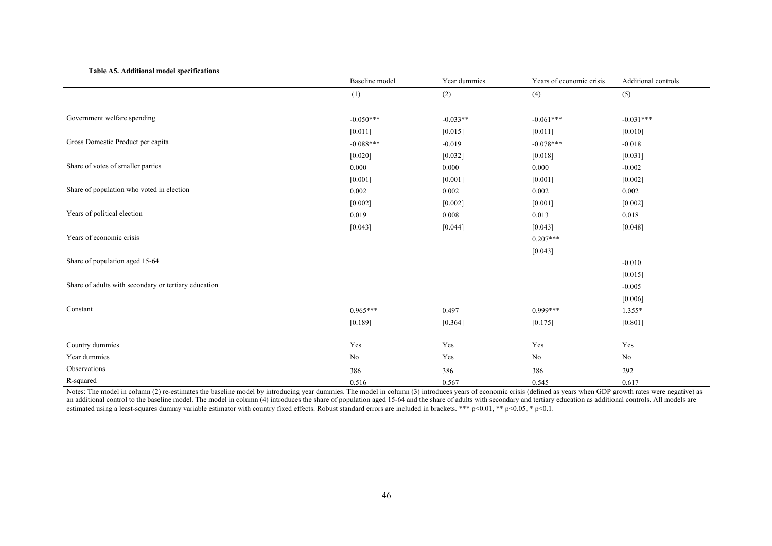|                                                      | <b>Baseline</b> model | Year dummies | Years of economic crisis | Additional controls |
|------------------------------------------------------|-----------------------|--------------|--------------------------|---------------------|
|                                                      | (1)                   | (2)          | (4)                      | (5)                 |
|                                                      |                       |              |                          |                     |
| Government welfare spending                          | $-0.050***$           | $-0.033**$   | $-0.061***$              | $-0.031***$         |
|                                                      | [0.011]               | [0.015]      | $[0.011]$                | [0.010]             |
| Gross Domestic Product per capita                    | $-0.088***$           | $-0.019$     | $-0.078***$              | $-0.018$            |
|                                                      | [0.020]               | [0.032]      | $[0.018]$                | [0.031]             |
| Share of votes of smaller parties                    | 0.000                 | 0.000        | 0.000                    | $-0.002$            |
|                                                      | $[0.001]$             | $[0.001]$    | $[0.001]$                | [0.002]             |
| Share of population who voted in election            | 0.002                 | 0.002        | 0.002                    | 0.002               |
|                                                      | [0.002]               | $[0.002]$    | $[0.001]$                | [0.002]             |
| Years of political election                          | 0.019                 | 0.008        | 0.013                    | 0.018               |
|                                                      | [0.043]               | [0.044]      | [0.043]                  | [0.048]             |
| Years of economic crisis                             |                       |              | $0.207***$               |                     |
|                                                      |                       |              | $[0.043]$                |                     |
| Share of population aged 15-64                       |                       |              |                          | $-0.010$            |
|                                                      |                       |              |                          | $[0.015]$           |
| Share of adults with secondary or tertiary education |                       |              |                          | $-0.005$            |
|                                                      |                       |              |                          | [0.006]             |
| Constant                                             | $0.965***$            | 0.497        | $0.999***$               | $1.355*$            |
|                                                      | [0.189]               | [0.364]      | [0.175]                  | [0.801]             |
|                                                      |                       |              |                          |                     |
| Country dummies                                      | Yes                   | Yes          | Yes                      | Yes                 |
| Year dummies                                         | No                    | Yes          | No                       | No                  |
| Observations                                         | 386                   | 386          | 386                      | 292                 |
| R-squared                                            | 0.516                 | 0.567        | 0.545                    | 0.617               |

#### **Table A5. Additional model specifications**

Notes: The model in column (2) re-estimates the baseline model by introducing year dummies. The model in column (3) introduces years of economic crisis (defined as years when GDP growth rates were negative) as an additional control to the baseline model. The model in column (4) introduces the share of population aged 15-64 and the share of adults with secondary and tertiary education as additional controls. All models are estimated using a least-squares dummy variable estimator with country fixed effects. Robust standard errors are included in brackets. \*\*\* p<0.01, \*\* p<0.05, \* p<0.1.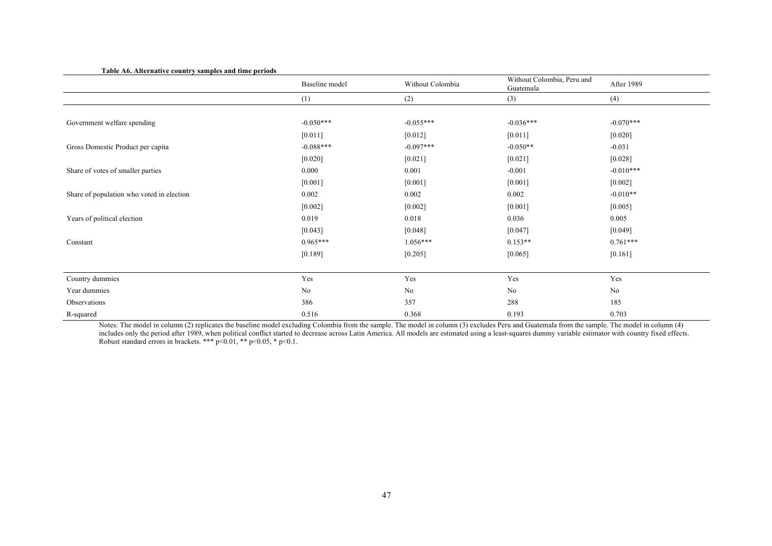#### **Table A6. Alternative country samples and time periods**

| Table Av. Alternative country samples and thire perfous | Baseline model | Without Colombia | Without Colombia, Peru and<br>Guatemala | After 1989  |
|---------------------------------------------------------|----------------|------------------|-----------------------------------------|-------------|
|                                                         | (1)            | (2)              | (3)                                     | (4)         |
|                                                         |                |                  |                                         |             |
| Government welfare spending                             | $-0.050***$    | $-0.055***$      | $-0.036***$                             | $-0.070***$ |
|                                                         | [0.011]        | [0.012]          | [0.011]                                 | [0.020]     |
| Gross Domestic Product per capita                       | $-0.088***$    | $-0.097***$      | $-0.050**$                              | $-0.031$    |
|                                                         | [0.020]        | [0.021]          | [0.021]                                 | [0.028]     |
| Share of votes of smaller parties                       | 0.000          | 0.001            | $-0.001$                                | $-0.010***$ |
|                                                         | [0.001]        | [0.001]          | [0.001]                                 | [0.002]     |
| Share of population who voted in election               | 0.002          | 0.002            | 0.002                                   | $-0.010**$  |
|                                                         | [0.002]        | [0.002]          | [0.001]                                 | [0.005]     |
| Years of political election                             | 0.019          | 0.018            | 0.036                                   | 0.005       |
|                                                         | [0.043]        | [0.048]          | $[0.047]$                               | $[0.049]$   |
| Constant                                                | $0.965***$     | $1.056***$       | $0.153**$                               | $0.761***$  |
|                                                         | [0.189]        | [0.205]          | [0.065]                                 | [0.161]     |
|                                                         |                |                  |                                         |             |
| Country dummies                                         | Yes            | Yes              | Yes                                     | Yes         |
| Year dummies                                            | No             | No               | No                                      | No          |
| Observations                                            | 386            | 357              | 288                                     | 185         |
| R-squared                                               | 0.516          | 0.368            | 0.193                                   | 0.703       |

Notes: The model in column (2) replicates the baseline model excluding Colombia from the sample. The model in column (3) excludes Peru and Guatemala from the sample. The model in column (4) includes only the period after 1989, when political conflict started to decrease across Latin America. All models are estimated using a least-squares dummy variable estimator with country fixed effects. Robust standard errors in brackets. \*\*\*  $p<0.01$ , \*\*  $p<0.05$ , \*  $p<0.1$ .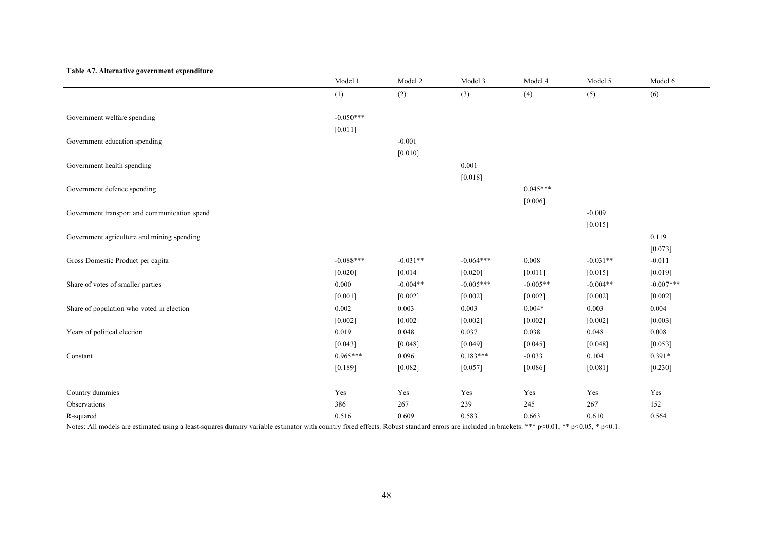|                                              | Model 1     | Model 2              | Model 3     | Model 4              | Model 5    | Model 6     |
|----------------------------------------------|-------------|----------------------|-------------|----------------------|------------|-------------|
|                                              | (1)         | (2)                  | (3)         | (4)                  | (5)        | (6)         |
|                                              |             |                      |             |                      |            |             |
| Government welfare spending                  | $-0.050***$ |                      |             |                      |            |             |
|                                              | [0.011]     |                      |             |                      |            |             |
| Government education spending                |             | $-0.001$             |             |                      |            |             |
|                                              |             | $[0.010]$            |             |                      |            |             |
| Government health spending                   |             |                      | 0.001       |                      |            |             |
|                                              |             |                      | [0.018]     |                      |            |             |
| Government defence spending                  |             |                      |             | $0.045***$           |            |             |
|                                              |             |                      |             | [0.006]              |            |             |
| Government transport and communication spend |             |                      |             |                      | $-0.009$   |             |
|                                              |             |                      |             |                      | [0.015]    |             |
| Government agriculture and mining spending   |             |                      |             |                      |            | 0.119       |
|                                              |             |                      |             |                      |            | $[0.073]$   |
| Gross Domestic Product per capita            | $-0.088***$ | $-0.031**$           | $-0.064***$ | 0.008                | $-0.031**$ | $-0.011$    |
|                                              | $[0.020]$   | $[0.014]$            | [0.020]     | $[0.011]$            | [0.015]    | [0.019]     |
| Share of votes of smaller parties            | 0.000       | $-0.004**$           | $-0.005***$ | $-0.005**$           | $-0.004**$ | $-0.007***$ |
|                                              | [0.001]     | [0.002]              | $[0.002]$   | $[0.002]$            | [0.002]    | [0.002]     |
| Share of population who voted in election    | 0.002       | 0.003                | 0.003       | $0.004*$             | 0.003      | 0.004       |
|                                              | $[0.002]$   | $[0.002]$            | $[0.002]$   | $[0.002]$            | [0.002]    | [0.003]     |
| Years of political election                  | 0.019       | 0.048                | 0.037       | 0.038                | 0.048      | 0.008       |
|                                              | [0.043]     | [0.048]              | [0.049]     | [0.045]              | [0.048]    | [0.053]     |
| Constant                                     | $0.965***$  | 0.096                | $0.183***$  | $-0.033$             | 0.104      | $0.391*$    |
|                                              | [0.189]     | [0.082]              | [0.057]     | [0.086]              | [0.081]    | $[0.230]$   |
|                                              |             |                      |             |                      |            |             |
| Country dummies                              | Yes         | $\operatorname{Yes}$ | Yes         | $\operatorname{Yes}$ | Yes        | Yes         |
| Observations                                 | 386         | 267                  | 239         | 245                  | 267        | 152         |
| R-squared                                    | 0.516       | 0.609                | 0.583       | 0.663                | 0.610      | 0.564       |

#### **Table A7. Alternative government expenditure**

Notes: All models are estimated using a least-squares dummy variable estimator with country fixed effects. Robust standard errors are included in brackets. \*\*\* p<0.01, \*\* p<0.05, \* p<0.1.